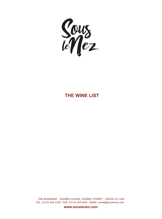

### **THE WINE LIST**

THE BASEMENT · QUEBEC HOUSE, QUEBEC STREET · LEEDS LS1 2HA TEL: (0113) 244 0108 · FAX: (0113) 245 0240 · EMAIL: email@souslenez.com

**www.souslenez.com**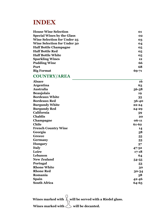# **INDEX**

| <b>House Wine Selection</b>        | 01        |
|------------------------------------|-----------|
| <b>Special Wines by the Glass</b>  | 02        |
| <b>Wine Selection for Under 25</b> | 03        |
| <b>Wine Selection for Under 30</b> | 04        |
| <b>Half Bottle Champagne</b>       | 05        |
| <b>Half Bottle Red</b>             | 05        |
| <b>Half Bottle White</b>           | 05        |
| <b>Sparkling Wines</b>             | 12        |
| <b>Pudding Wine</b>                | 66        |
| Port                               | 68        |
| <b>Big Format</b>                  | $69 - 71$ |

#### **COUNTRY/AREA**

| <b>Alsace</b>              | 16        |
|----------------------------|-----------|
| <b>Argentina</b>           | 63        |
| Australia                  | $56 - 58$ |
| <b>Beaujolais</b>          | 19        |
| <b>Bordeaux White</b>      | 35        |
| <b>Bordeaux Red</b>        | 36-40     |
| <b>Burgundy White</b>      | $22 - 24$ |
| <b>Burgundy Red</b>        | $24 - 29$ |
| California                 | 59        |
| <b>Chablis</b>             | 20        |
| Champagne                  | $06 - 11$ |
| <b>Chile</b>               | $61 - 62$ |
| <b>French Country Wine</b> | 14        |
| Georgia                    | 58        |
| <b>Greece</b>              | 55        |
| Germany                    | 53        |
| <b>Hungary</b>             | 57        |
| <b>Italy</b>               | $47 - 52$ |
| Loire                      | $17 - 18$ |
| Lebanon                    | 64        |
| <b>New Zealand</b>         | 54-55     |
| Portugal                   | 53        |
| <b>Rhone White</b>         | 30        |
| <b>Rhone Red</b>           | 30-34     |
| Romania                    | 58        |
| <b>Spain</b>               | $42 - 46$ |
| <b>South Africa</b>        | 64-65     |

Wines marked with  $\bigcup_{n=1}^{\infty}$  will be served with a Riedel glass. Wines marked with  $\bigcup$  will be decanted.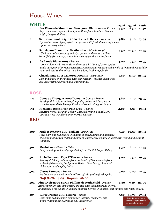# House Wines

| WHITE                   |                                                                                                                                                                                                                                                                       | 125ml | 250ml                                                                       | <b>Bottle</b> |
|-------------------------|-----------------------------------------------------------------------------------------------------------------------------------------------------------------------------------------------------------------------------------------------------------------------|-------|-----------------------------------------------------------------------------|---------------|
| 1                       | Les Fleurs de Montblanc Sauvignon Blanc 2020 - France<br>Top value, ever popular Sauvignon Blanc from Southern France,<br>Light, Crisp and Floral.                                                                                                                    | 4.50  | 8.50                                                                        | 22.50         |
| 2                       | Sanziana Pinot Grigio 2020 Cramele Recas - Romania<br>Opulent aromas of grapefruit and peach, with fresh flavours of melon,<br>apple and zesty citrus                                                                                                                 | 4.80  | 9.10                                                                        | 23.95         |
| 3                       | <b>Sauvignon Blanc 2021 Featherdrop-</b> Marlborough<br>Lifted notes of gooseberry and ripe guava on the nose and has a<br>beautifully fresh, crisp palate that is fruity yet dry on the finish.                                                                      | 5.50  | 10.50                                                                       | 27.45         |
| 4                       | La Lande Blanc 2019 - France<br>100 % Colombard. Aromatic on the nose with hints of green apples<br>and Sauvignon Blanc characteristics. On the palate it has good weight of fruit and beautifully<br>balanced acidity that gives the wine a long fresh crisp finish. | 4.00  | 7.50                                                                        | 19.95         |
| $\overline{\mathbf{5}}$ | <b>Chardonnay 2018 La Foret Drouhin - Burgundy</b><br>Dry and fruity on the palate with some length - finishes clean with<br>a touch of citrus a great value Chardonnay.                                                                                              | 5.80  | 11.10                                                                       | 28.95         |
| <b>ROSÉ</b>             |                                                                                                                                                                                                                                                                       |       |                                                                             |               |
| 150                     | Cotes de Thongue 2020 Domaine Coste - France<br>Palish pink in colour with a plump, dry palate and flavours of<br>strawberry and blackberry. Fresh and round with good length.                                                                                        | 4.80  | 9.10                                                                        | 23.95         |
| 155                     | Richelieu Rosé Blush Pays D'oc - France<br>An Attractivce Pale Pink Colour, This Refreshing, Slightly Dry<br>Cinsault Rose is Full of Summer Fruit Flavour.                                                                                                           | 4.00  | 7.50                                                                        | 19.95         |
| <b>RED</b>              |                                                                                                                                                                                                                                                                       |       |                                                                             |               |
| 500                     | Malbec Reserva 2019 Kaiken - Argentina<br>Rich, dark and full bodied with hints of black cherry and liquorice.<br>showing mature red fruits and some spiciness. Nice acidity with velvety, round and elegant<br>tannins.                                              | 5.40  | 10.30                                                                       | 26.95         |
| 501                     | Merlot 2020 Panul - Chile<br>Easy drinking, rich and juicy Merlot from the Colchagua Valley.                                                                                                                                                                          | 4.30  | 8.10                                                                        | 21.45         |
| 502                     | Richelieu 2020 Pays D'Herault-France<br>An easy drinking red wine from the South of France made from<br>a blend of Grenache, Carignan & Merlot. Blackberry, plum and<br>violet notes and a spicy finish.                                                              | 4.00  | 7.50                                                                        | 19.95         |
| 503                     | <b>Claret Tanners - France</b><br>We have never tasted another Claret of this quality for the price<br>Half Bottle $14.05 \cdot$ Magnum 56.00                                                                                                                         | 5.60  | 10.70                                                                       | 27.95         |
| 504                     | Pinot Noir 2020 Baron Phillipe de Rothschild - France<br>Attractive plum and strawberry aromas with added morello cherry.<br>Enhanced on the palate with more summer berries with fused, soft tannins and finely spiced.                                              | 4.80  | 9.10                                                                        | 24.00         |
| 505                     | Rioja Crianza 2019 Mitarte - Spain                                                                                                                                                                                                                                    | 5.60  | 10.70                                                                       | 27.95         |
|                         | Deep ruby red in colour, aromas of Cherry, raspberry and<br>plum fruit with spicy, vanilla oak undertones.                                                                                                                                                            |       | Turn the page for our<br>selection of great value<br>wines under 25 $\&$ 30 |               |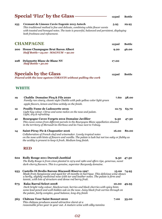|     | <b>Special 'Fizz' by the Glass -</b>                                                                                                                                                                                                                                                       | 125ml | <b>Bottle</b> |
|-----|--------------------------------------------------------------------------------------------------------------------------------------------------------------------------------------------------------------------------------------------------------------------------------------------|-------|---------------|
| 255 | Cremant de Limoux Cuvée Eugenie 2015 Antech<br>This traditional method is fine and delicate, combining white flower scents<br>with toasted and honeyed notes. The taste is powerful, balanced and persistent, displaying<br>both freshness and refinement.                                 | 5.95  | 29.95         |
|     | <b>CHAMPAGNE</b>                                                                                                                                                                                                                                                                           | 125ml | <b>Bottle</b> |
| 200 | <b>House Champagne Brut Baron Albert</b><br>Half Bottle . 23.00 · MAGNUM · 92.00                                                                                                                                                                                                           | 9.20  | 46.00         |
| 228 | Delamotte Blanc de Blanc NV<br>Half Bottle · 50.00                                                                                                                                                                                                                                         | 17.00 |               |
|     | <b>Specials by the Glass</b><br>Poured with the new system CORAVIN without pulling the cork                                                                                                                                                                                                | 125ml | <b>Bottle</b> |
|     | <b>WHITE</b>                                                                                                                                                                                                                                                                               |       |               |
| 19  | <b>Chablis Domaine Picq &amp; Fils 2020</b><br>Family run vinery, classic style Chablis with pale yellow color light green<br>apple flavors, lemon and lime acitidy on the finish.                                                                                                         | 7.60  | 38.00         |
| 12  | <b>Pouilly Fume de Ladoucette 2019</b><br>Light hay colour. Citrus and some melon on the nose and palate.<br>Light, dry & refreshing                                                                                                                                                       | 12.75 | 63.70         |
| 41  | <b>Bourgogne Cuvee Forgets 2012 Domaine Javillier</b><br>This cuvee comes from different parcels in the Bourgogne Blanc appellation situated<br>in the territory of Mersault les Herbeux and les Vaux next to Volnay.                                                                      | 9.50  | 47.50         |
| 14  | Saint-Péray Pic & Chapoutier 2016<br>Collaboration of French chef and winemaker. Lovely tropical notes<br>on the nose with hints of flowers and vanilla. The palate is lush but not too oaky or flabby as<br>the acidity is present to keep it fresh. Medium long finish.                  | 16.00 | 80.00         |
|     | <b>RED</b>                                                                                                                                                                                                                                                                                 |       |               |
| 602 | <b>Rully Rouge 2011 Dureuil-Janthial</b><br>The Rully Rouge is from vines planted in 1974 and 1980 and offers ripe, generous, sweet<br>dark-cherry flavours. This is a genuine, superstar Burgundy domaine.                                                                                | 9.50  | 47.50         |
| 933 | Castello Di Brolio Barone Riscasoli Riserva 1997<br>Made from Sangiovese and aged for 18 months in barrique. This delicious wine shows<br>a herby, slightly medicinal nose with tar and leather notes. The palate is firm and<br>tannic, with lots of structure and dense red berry fruit. | 15.00 | 74.95         |
| 673 | <b>Raka Barral Select 2008</b><br>Dark bright ruby colour, blackcurrant, berries and black cherries with spicy hints<br>some lead pencil and well-hidden oak on the nose. Juicy black fruit carries through on<br>the palate, fairly complex, good balance, long dry finish                | 10.00 | 49.95         |
| 563 | <b>Château Tour Saint Bonnet 2010</b><br>This château produces sound attractive claret at a<br>reasonable price year in year out. A mature wine with silky tannins                                                                                                                         | 7.00  | 35.00         |

*02*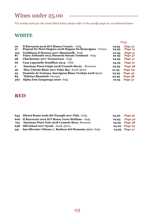# Wines under 25.00

*For tasting notes for the wines listed below please refer to the specific page no. as indicated below* 

### **WHITE**

|                                                                                                           |                                  | Page               |
|-----------------------------------------------------------------------------------------------------------|----------------------------------|--------------------|
| Il Barroccio 2016 IGT Bianco Veneto - Italy<br>Picpoul De Pinet Hugues 2018 Hugues De Beauvignac - France | 19.95<br>24.95                   | Page 51<br>Page 13 |
| Trebbiano d'Abruzzo 2017 Masciarelli - Italy<br>Fiano Arthemis 2015 Masseria Surani Tommasi - Italy       | 22.95<br>22.95                   | Page 51<br>Page 47 |
| Chardonnay 2017 Tormaresca - Italy                                                                        | 24.95                            | Page 47            |
| Casa Lapostelle Semillion 2014 - Chile                                                                    | 24.95                            | Page 61            |
| Sanziana Pinot Grigio 2018 Cramele Recas - Romania                                                        | 23.95                            | Page 58            |
| Slow Chenin Blanc 2017 False Bay- South Africa                                                            | 21.95                            | Page 64            |
| Dominio de Fontana, Sauvignon Blanc Verdejo 2018-Spain                                                    | 24.95                            | Page 42            |
| <b>Tbilvino Rkatsiteli - Georgia</b>                                                                      | 24.95                            | Page 58            |
|                                                                                                           | 19.95                            | Page 51            |
|                                                                                                           | Alpha Zeta Garganega 2020- Italy |                    |

#### **RED**

|     | 643 Silenzi Rosso Isola dei Nuraghi 2017 Pala - Italy      |       | 23.50 Page 52        |
|-----|------------------------------------------------------------|-------|----------------------|
|     | 606 Il Barroccio 2019 IGT Rosso Terre Siciliane - Italy    | 19.95 | Page 52              |
|     | 705 Sanziana Pinot Noir 2018 Cramele Reca-Romania          |       | 24.95 Page 58        |
|     | 648 Old School 2017 Syrah - South Africa                   |       | 24.00 Page 65        |
| 541 | San Silvestro 'Ottone 1', Barbera del Piemonte 2017- Italy |       | <b>24.95</b> Page 47 |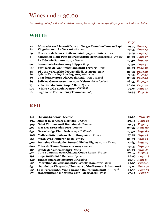# Wines under 30.00

*For tasting notes for the wines listed below please refer to the specific page no. as indicated below* 

### **WHITE**

|          |                                                                                                         | Page  |                                |
|----------|---------------------------------------------------------------------------------------------------------|-------|--------------------------------|
| 22<br>87 | Muscadet sur Lie 2018 Dom du Verger Domaine Luneau Papin<br><b>Viognier 2020 Le Versant</b> - France    | 29.95 | 29.95 Page 17<br>Page 13       |
| 29       | Costieres de Nimes Château Saint Cyrgues 2016 - France                                                  | 29.95 | Page 13                        |
| 9        | Sauvignon Blanc Petit Bourgeois 2018 Henri Bourgeois - France                                           | 29.95 | Page 17                        |
| 13       | La Cabriole Saumur 2017 - France                                                                        | 29.30 | Page 17                        |
| 90       | Soave Castelcerino 2014 Filippi - Italy                                                                 |       | 27.50 Page 51                  |
| 100      | Vernaccia di San Gimigniano 2018 Terruzzi - Italy                                                       |       | 29.95 Page 50                  |
| 68<br>80 | Di Gino Verdicchio dei Castelli diJesi 2012 - Italy<br><b>Sybille Kuntz Dry Riesling 2009 - Germany</b> |       | 26.95 Page 52<br>25.95 Page 53 |
| 86       | Chardonnay 2018 Old Coach Road - New Zealand                                                            |       | 29.95 Page 54                  |
| 89       | Seifried Gewurztraminer 2014 Nelson - New Zealand                                                       |       | 28.95 Page 54                  |
| 75       | <b>Viña Garedo 2016 Grupo Yllera -Spain</b>                                                             |       | 26.00 Page 46                  |
| 120      | Vinho Verde Louleiro 2017 <sup>- Portugal</sup>                                                         |       | 29.95 Page 53                  |
| 108      | Lugana Le Fornaci 2013 Tommasi-Italy                                                                    | 29.95 | Page 51                        |
|          |                                                                                                         |       |                                |

### **RED**

| 549        | Tbilvino Saperavi - Georgia                                                       | 29.95          | Page 58            |
|------------|-----------------------------------------------------------------------------------|----------------|--------------------|
| 694        | <b>Malbec 2016 Cedre Heritage - France</b>                                        | 29.95          | Page 16            |
| 509        | <b>Saint Chinian 2018 Domaine du Barres</b>                                       | 29.95          | Page 14            |
| 507        | <b>Mas Des Bressades 2016 - France</b>                                            | 29.95          | Page 30            |
| 631        | Grace bridge Pinot Noir 2015 - California                                         | 29.50          | Page 60            |
| 508        | Malbec 2016 Château Haut-Monplaisir - France                                      | 27.95          | Page 15            |
| 669        | <b>Syrah Yves Cuilleron 2018 - France</b>                                         | 29.95          | Page 13            |
| 506        | Domaine Chataignier Durand Vielles Vignes 2013 - France                           | 27.65          | Page 19            |
| 660        | <b>Cotes du Rhone Samorens 2019 - France</b>                                      | 29.95          | Page 30            |
| 585<br>517 | Conde de Valdemar 2015 - Spain<br>Cuvee Granaxa 2012 Château Coupe Roses - France | 28.95<br>29.95 | Page 43<br>Page 14 |
| 591        | Rioja 50/50 2020 Belezos - Spain                                                  | 29.95          | Page 43            |
| 640        | Tannat Quara Estate 2016- Argentina                                               |                | 28.90 Page 63      |
| 625        | Morellino di Scansano 2013 Castello Romitorio-Italy                               | 29.95          | Page <sub>48</sub> |
| 632        | Dandelion Vineyards, Lionheart of the Barossa, Shiraz 2018                        | 29.95          | Page 57            |
| 697        | Casa Ferreirinha, Vinha Grande Douro Tinto 2018 - Portugal                        | 29.50          | Page 53            |
| 678        | Montepulciano d'Abruzzo 2017 - Masciarelli - Italy                                | 27.95          | Page 51            |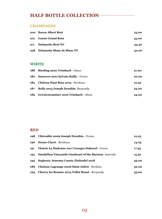### **HALF BOTTLE COLLECTION**

#### **CHAMPAGNE**

| 200 Baron Albert Brut           | 23.00 |
|---------------------------------|-------|
| 212 Gosset Grand Rosé           | 35.00 |
| 271 Delamotte Brut NV           | 34.50 |
| 228 Delamotte Blanc de Blanc NV | 50.00 |

#### **WHITE**

| 188 | <b>Riesling 2020 Trimbach - Alsace</b>    | 21.00 |
|-----|-------------------------------------------|-------|
|     | 182 Sancerre 2021 Sylvain Bailly - France | 20.00 |
| 183 | Château Haut Rian 2015 - Bordeaux         | 12.50 |
| 187 | <b>Rully 2013 Joseph Drouhin-Burgundy</b> | 25.00 |
| 189 | Gewürztraminer 2016 Trimbach - Alsace     | 24.00 |

#### **RED**

| 198 | <b>Chirouble 2009 Joseph Drouhin - France</b>           | 12.25 |
|-----|---------------------------------------------------------|-------|
| 196 | <b>House Claret - Bordeaux</b>                          | 14.05 |
| 191 | <b>Fleurie La Madonne 2017 Georges Duboeuf - France</b> | 17.95 |
| 195 | Dandelion Vineyards Lionheart of the Barossa-Australia  | 15.50 |
| 193 | Seghesio, Sonoma County Zinfandel 2018                  | 39.00 |
| 186 | Chateau Lagrange 2006 Saint Julien - Bordeau            | 52.00 |
| 194 | <b>Chorey les Beaune 2013 Tollot Beaut - Burgundy</b>   | 35.00 |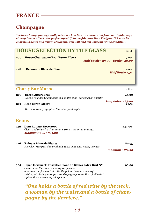### **Champagne**

*We love champagne especially when it's had time to mature. But from our light, crisp, citrusy Baron Albert , the perfect aperitif, to the fabulous Dom Perignon '88 with its enormous depth and length of flavour, you will find top wines in prime condition.* 

|              | <b>HOUSE SELECTION BY THE GLASS</b>                                                                                   |                                                                |  |  |
|--------------|-----------------------------------------------------------------------------------------------------------------------|----------------------------------------------------------------|--|--|
| 200          | <b>House Champagne Brut Baron Albert</b>                                                                              | 9.20<br>Half Bottle $\cdot$ 23.00 $\cdot$ Bottle $\cdot$ 46.00 |  |  |
| 228          | <b>Delamotte Blanc de Blanc</b>                                                                                       | 17.00<br>Half Bottle . 50                                      |  |  |
|              | <b>Charly Sur Marne</b>                                                                                               | <b>Bottle</b>                                                  |  |  |
| 200          | <b>Baron Albert Brut</b><br>Classic, rounded Champagne in a lighter style-perfect as an aperitif                      | 46.00                                                          |  |  |
| 201          | <b>Rosé Baron Albert</b><br>The Pinot Noir grape gives this wine great depth.                                         | Half Bottle $\cdot$ 23.00 $\cdot$<br>49.50                     |  |  |
| <b>Reims</b> |                                                                                                                       |                                                                |  |  |
| 232          | <b>Dom Ruinart Rose 2002</b><br>Clean and seductive Champagne from a stunning vintage.<br><b>Magnum 1990 • 595.00</b> | 245.00                                                         |  |  |
| 226          | <b>Ruinart Blanc de Blancs</b><br>Succulent ripe fruit that gradually takes on toasty, smoky aromas                   | 89.95<br><b>Magnum • 179.90</b>                                |  |  |

**304 Piper-Heidsieck, Essentiel Blanc de Blancs Extra Brut NV 95.00**  *On the nose, there are aromas of zesty lemon, limestone and fresh brioche. On the palate, there are notes of raisins, mirabelle plums, pears and a peppery touch. It is a fullbodied style with an entrancing mid-palate.* 

*"One holds a bottle of red wine by the neck, a woman by the waist,and a bottle of champagne by the derriere."*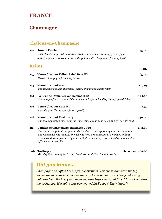### **Champagne**

#### **Chalons-en-Champagne**

| 217 | <b>Joseph Perrier</b>                                                                                          | 55.00         |
|-----|----------------------------------------------------------------------------------------------------------------|---------------|
|     | 35% Chardonnay, 35% Pinot Noir, 30% Pinot Meunier. Notes of green apple                                        |               |
|     | and vine peach, nice roundness on the palate with a long and refreshing finish.                                |               |
|     | <b>Reims</b>                                                                                                   |               |
|     |                                                                                                                | <b>Bottle</b> |
| 215 | <b>Veuve Clicquot Yellow Label Brut NV</b>                                                                     | 65.00         |
|     | Classic Champagne from a top house                                                                             |               |
| 213 | <b>Veuve Clicquot 2002</b>                                                                                     | 119.95        |
|     | Champagne with a mature nose, plenty of fruit and a long finish                                                |               |
| 214 | La Grande Dame Veuve Clicquot 1998                                                                             | 195.00        |
|     | Champagne from a wonderful vintage, much appreciated by Champagne drinkers                                     |               |
| 216 | <b>Veuve Clicquot Rosé NV</b>                                                                                  | 72.50         |
|     | A really good Champagne for an aperitif.                                                                       |               |
| 218 | <b>Veuve Clicquot Rosé 2004</b>                                                                                | 150.00        |
|     | The second vintage rosé made by Veuve Clicquot, as good as an aperitif as with food                            |               |
| 229 | <b>Comtes de Champagne Taittinger 2000</b>                                                                     | 295.00        |
|     | The colour is a pale straw yellow. The bubbles are exceptionally fine and abundant                             |               |
|     | and form a delicate mousse. The delicate nose is reminiscent of a mixture of flinty                            |               |
|     | aromas and toast, followed by fine and light essences of wood echoed by subtle notes<br>of brioche and vanilla |               |
| 896 | <b>Taittinger</b><br>Jeroboam 275.00                                                                           |               |

 *Blend of Chardonnay (40%) and Pinot Noir and Pinot Meunier (60%)*

# *Did you know...*

*Champagne has often been a female business. Various widows ran the big houses during eras when it was unusual to see a woman in charge. She may not have been the first (widow Soyez came before her), but Mrs. Clicquot remains the archetype. Her wine was even called La Veuve ("The Widow")*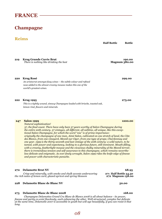#### **Champagne**

#### **Reims**

|     |                                                                                                                                                                                                                                                                                                                                                                                                                                                                                                                                                                                                                                                                                                                                                                                                                                                                                                                       | <b>Half Bottle</b> | <b>Bottle</b>                  |
|-----|-----------------------------------------------------------------------------------------------------------------------------------------------------------------------------------------------------------------------------------------------------------------------------------------------------------------------------------------------------------------------------------------------------------------------------------------------------------------------------------------------------------------------------------------------------------------------------------------------------------------------------------------------------------------------------------------------------------------------------------------------------------------------------------------------------------------------------------------------------------------------------------------------------------------------|--------------------|--------------------------------|
| 219 | <b>Krug Grande Cuvée Brut</b><br>There is nothing like drinking the best                                                                                                                                                                                                                                                                                                                                                                                                                                                                                                                                                                                                                                                                                                                                                                                                                                              |                    | 190.00<br><b>Magnum 380.00</b> |
| 220 | <b>Krug Rosé</b><br>An aristocrat amongst fizzy wines - the subtle colour and refined<br>nose added to the almost creamy mousse makes this one of the<br>world's greatest wines.                                                                                                                                                                                                                                                                                                                                                                                                                                                                                                                                                                                                                                                                                                                                      |                    | 299.00                         |
| 222 | <b>Krug 1995</b><br>This is a tightly wound, sinewy Champagne loaded with brioche, toasted oak,<br>lemon rind, flowers and minerals.                                                                                                                                                                                                                                                                                                                                                                                                                                                                                                                                                                                                                                                                                                                                                                                  |                    | 275.00                         |
| 247 | <b>Salon 1999</b><br><b>Natural sophistication!</b><br>37, the final count. There have only been 37 years worthy of Salon Champagne during<br>the entire 20th century. 37 vintages, all different, all sublime, all unique, like this excep-<br>tional Salon Champagne, for which the word "one" is of prime importance:<br>originally the champagne of one man, Aimé Salon, cultivated on one stretch of land, the Côte<br>des Blancs, from one vineyard, Mesnil-sur-Oger, from one type of grape, Chardonnay and<br>one year. 1999 is the thirty-seventh and last vintage of the 20th century: a wild nature, to be<br>tamed, with power and expectancy, looking to a glorious future, still imminent. Mouth-filling,<br>with a creamy, featherlight mousse and the vivacious chalky minerality of the Mesnil terroir,<br>there is tremendous tension and self-assurance to this champagne, which remains neverthe- |                    | 1200.00                        |

#### **270 Delamotte Brut NV 68.95**

*Crisp and minerally, with smoke and chalk accents underscoring* **271 Half Bottle 34.50**  *the rich notes of lemon curd, glazed apricot and spring blossom* **272 Magnum 138.00**

*and power with characteristic panache.* 

#### **228 Delamotte Blanc de Blanc NV 50.00**

#### **273 Delamotte Blanc de Blanc 2008 168.00**

*Champagne Delamottes Grand Cru Blanc de Blancs 2008 is all about balance - its power, finesse and purity co-exist flawlessly, each enhancing the other. Well-structured, complex but delicate at the same time, Delamotte 2007 is accessible in youth but will age beautifully, if you can resist it that long.*

#### *08*

*less delicate and enigmatic. As ever finely wrought, Salon 1999 rides the knife-edge of finesse*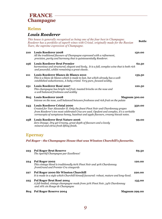#### **FRANCE Champagne**

#### **Reims**

#### *Louis Roederer*

*This house is generally recognised as being one of the four best in Champagne. Roederer has a portfolio of superb wines with Cristal, originally made for the Russian Tsars, the supreme expression of Champagne.*  **Bottle** 

| <b>210</b> | <b>Louis Roederer 2008</b><br>All the traditional flavours of Champagne expressed with a refinement,<br>precision, purity and harmony that is quintessentially Roederer.                                                                                                                               | 150.00               |
|------------|--------------------------------------------------------------------------------------------------------------------------------------------------------------------------------------------------------------------------------------------------------------------------------------------------------|----------------------|
| 256        | <b>Louis Roederer Brut Premier</b><br>harmonious and structured, elegant and lively, It is a full, complex wine that is both rich<br>and powerful, whilst remaining a great classic.                                                                                                                   | 62.50                |
| 211        | Louis Roederer Blancs de Blancs 2010<br>This is a blanc de blancs which is made to last, but which already has a well-<br>established seductiveness, A baby cristal. Very pure, focused acidity.                                                                                                       | 159.50               |
| 231        | Louis Roederer Rosé 2007<br>This champagne has bright red fruit, toasted brioche on the nose and<br>a well balanced freshness and acidity                                                                                                                                                              | 120.50               |
| 805        | <b>Louis Roederer 2008</b><br>Intense on the nose, well balanced between freshness and rich fruit on the palate                                                                                                                                                                                        | <b>Magnum 300.00</b> |
| 243        | <b>Louis Roederer Cristal 2000</b><br>Created for Tsar Alexander II. Only the finest Pinot Noir and Chardonnay grapes<br>from Roederer's ten most celebrated Crus are used. Opulent and complex, it's a veritable<br>cornucopia of sumptuous honey, hazelnut and apple flavours, creamy biscuit notes. | 350.00               |
| 258        | <b>Louis Roederer Brut Nature 2006</b><br>Zero Dosage. Dry yet Creamy, great depth of flavours and a lovely                                                                                                                                                                                            | 99.00                |

#### **Epernay**

*mineral and citrus fresh lifting finish.*

*Pol Roger - the Champagne House that was Winston Churchill's favourite.* 

| 223 | <b>Pol Roger Brut Reserve</b><br>The Aperitif Champagne par Excellence!                                                                 | 69.50                |
|-----|-----------------------------------------------------------------------------------------------------------------------------------------|----------------------|
| 224 | Pol Roger 2002<br>This vintage blend is traditionally 60% Pinot Noir and 40% Chardonnay<br>fromGrand and Premier Cru vineyards          | 120.00               |
| 227 | Pol Roger 2000 Sir Winston Churchill<br>It is made in a style which Churchill himself favoured: robust, mature and long-lived.          | 220.00               |
| 225 | Pol Roger Brut Rosé 2004<br>A full-bodied, vintage champagne made from 50% Pinot Noir, 34% Chardonnay<br>and 16% vin Rouge de Champagne | 135.00               |
| 804 | Pol Roger Reserve 2004                                                                                                                  | <b>Magnum 299.00</b> |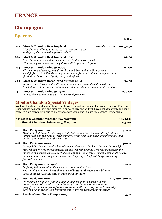### **Champagne**

# **Epernay** Bottle

| 202 | Jeroboam 250.00 59.50<br>Moet & Chandon Brut Impérial<br>World famous Champagne that can be drunk or shaken<br>and sprayed over sporting personalities!!                                                                                                  |        |
|-----|-----------------------------------------------------------------------------------------------------------------------------------------------------------------------------------------------------------------------------------------------------------|--------|
| 206 | Moet & Chandon Brut Impérial Rosé<br>This champagne is good for drinking with food, or as an aperitif<br>Wonderfully fresh and delicately floral with length and elegance.                                                                                | 69.50  |
| 204 | Moet & Chandon Vintage 2006<br>Clean, pure and citrusy, very direct, lean and dry-tasting. A little creamy,<br>straightforward. Full and creamy in the mouth, fresh and with a slight grip on the<br>finish.Good length and slightly nutty on the finish. | 95.00  |
| 205 | Moet & Chandon Rosé Grand Vintage 2004<br>It is very even throughout, with an impression of purity and solidity to the fore.<br>The full force of the flavour tails away gradually, offset by a burst of intense plum.                                    | 94.50  |
| 241 | Moet & Chandon Vintage 1982<br>A wine showing maturity with elegance and freshness                                                                                                                                                                        | 250.00 |

#### **Moet & Chandon Special Vintages**

We have the chance and honour to present to you two mature vintage champagne, 1964 & 1973. These Champagnes has been kept and matured in our own care and will will have a lot of maturity and generosity - We are extremely proud to share those with you, a one in a life time chance - (very rare).

| 871 Moet & Chandon vintage 1964 Magnum | 1025.00 |
|----------------------------------------|---------|
| 872 Moet & Chandon vintage 1973 Magnum | 1115.00 |

#### **207 Dom Perignon 1996 395.00**

 *Medium to full-bodied, with crisp acidity buttressing the wines wealth of fruit and intensity, it comes across as extraordinarly zesty, well-delineated, and incredibly long on the palat. Parker rates this 98/100!* 

#### **208 Dom Perignon 2000 300.00**

*Light gold in the glass, with a hint of green and very fine bubbles, this wine has a bright, mineral-driven nose of sourdough toast and wet rock aromas.Gorgeously smooth in the mouth with a very fine mousse of bubbles that buoy up flavors of bright lemon andcrackers, with lemon zest, sourdough and sweet tarts lingering in the finish.Gorgeous acidity, fantastic balance.* 

#### **209 Dom Perignon Rosé 1996 425.00**

 *Perfectly balanced wine. Very rich harmonious structure. Toasted flavours combine with aromas of butter and brioche resulting in great complexity, found only in truly great vintages* 

#### **801 Dom Perignon 2004** *Magnum* **600.00**

 *On the nose, aromas of almond gradually develop into classic toasted notes that combine with an abundance of fruit. In the mouth, a youthful grapefruit and lemongrass flavour combines with a creamy crème brûlée edge that is a hallmark of Dom Pérignon from a year where there is ripe fruit.* 

#### **611 Perrier-Jouet Belle Epoque 1999 295.00**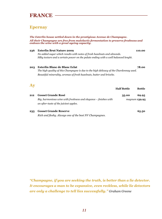#### **Epernay**

*The Esterlin house settled down in the prestigious Avenue de Champagne. All their Champagne are free from malolactic fermentation to preserve freshness and endows the wine with a great ageing capacity.* 

#### **236 Esterlin Brut Nature 2009 110.00**

*No added sugar which results with notes of fresh hazelnuts and almonds. Silky texture and a certain power on the palate ending with a well balanced lenght.*

#### **203 Esterlin Blanc de Blanc Eclat 78.00**

*The high quality of this Champagne is due to the high delicacy of the Chardonnay used. Beautiful minerality, aromas of fresh hazelnuts, butter and brioche.*

#### **Ay**

|     |                                                                                                            | <b>Half Bottle</b> | <b>Bottle</b> |
|-----|------------------------------------------------------------------------------------------------------------|--------------------|---------------|
| 212 | <b>Gosset Grande Rosé</b>                                                                                  | 35.00              | 69.95         |
|     | Big, harmonious wine with freshness and elegance – finishes with<br>an after-taste of the juiciest apples. | magnum 139.95      |               |

**235 Gosset Grande Reserve 65.50**  *Rich and fleshy. Always one of the best NV Champagnes.* 

*"Champagne, if you are seeking the truth, is better than a lie detector. It encourages a man to be expansive, even reckless, while lie detectors are only a challenge to tell lies successfully." Graham Greene*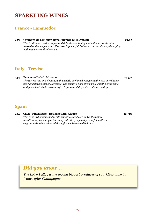### **SPARKLING WINES**

#### **France - Languedoc**

#### **255 Cremant de Limoux Cuvée Eugenie 2016 Antech 29.95**

*This traditional method is fine and delicate, combining white flower scents with toasted and honeyed notes. The taste is powerful, balanced and persistent, displaying both freshness and refinement.* 

#### **Italy - Treviso**

**234 Prosecco D.O.C. Monroe 25.50**  *The taste is fine and elegant, with a subtly perfumed bouquet with notes of Williams pear and floral hints of Narcissus. The colour is light straw yellow with perlage fine and persistent. Taste is fresh, soft, elegance and dry with a vibrant acidity.* 

**Spain** 

**254 Cava - Fincalegre - Bodegas Luis Alegre 29.95**  *This cava is distinguished for its brightness and clarity. On the palate, the attack is pleasantly acidic and fresh. Very dry and flavourful, with an elegant mid-palate achieved through a well-executed balance.* 

### *Did you know...*

*The Loire Valley is the second biggest producer of sparkling wine in france after Champagne.*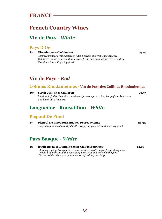### **French Country Wines**

#### **Vin de Pays -** *White*

#### **Pays D'Oc**

**87 Viognier 2020 Le Versant 29.95**  *Expressive nose of ripe apricots, juicy peaches and tropical overtones. Enhanced on the palate with rich stone fruits and an uplifting citrus acidity that flows into a lingering finish* 

#### **Vin de Pays -** *Red*

#### **Collines Rhodaniennes - Vin de Pays des Collines Rhodaniennes**

| 669 | <b>Syrah 2019 Yves Cuilleron</b>                                                  | 29.95 |
|-----|-----------------------------------------------------------------------------------|-------|
|     | Medium to full bodied, it is an extremely savoury red with plenty of smoked bacon |       |
|     | and black olive flavours.                                                         |       |
|     |                                                                                   |       |

#### **Languedoc - Roussillion -** *White*

#### **Picpoul De Pinet**

| 27 | Picpoul De Pinet 2021 Hugues De Beauvignac                                  |  |
|----|-----------------------------------------------------------------------------|--|
|    | A refeshing mineral mouthful with a zippy, appley bite and bone dry finish. |  |

#### **Pays Basque -** *White*

| 25 | <b>Irouleguy 2016 Domaine Jean-Claude Berrouet</b>                                |  |
|----|-----------------------------------------------------------------------------------|--|
|    | A lovely, pale yellow gold in colour, this has an attractive, fresh, steely nose, |  |
|    | bright and vibrant with gooseberry, star-fruit and lychee to the fore.            |  |
|    | On the palate this is pretty, vivacious, refreshing and long.                     |  |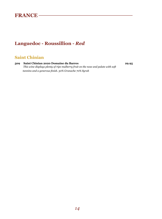### **Languedoc - Roussillion -** *Red*

#### **Saint Chinian**

**509 Saint Chinian 2020 Domaine du Barres 29.95**  *This wine displays plenty of ripe mulberry fruit on the nose and palate with soft tannins and a generous finish. 30% Granache 70% Syrah*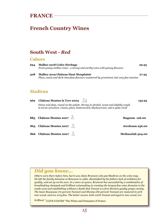# **French Country Wines**

#### **South West -** *Red*

#### **Cahors**

| Malbec 2018 Cedre Heritage<br>694<br>From young malbec vines - a strong and earthy wine with gamey flavours |                                                                                                                                | 29.95 |
|-------------------------------------------------------------------------------------------------------------|--------------------------------------------------------------------------------------------------------------------------------|-------|
| 508                                                                                                         | Malbec 2019 Château Haut Monplaisir<br>Plum, cassis and dark chocolate flavours countered by prominent, but very fine tannins. | 27.95 |

#### **Madiran**

| 969 | Château Montus la Tyre 2003                                                                                                                                           | 159.95               |
|-----|-----------------------------------------------------------------------------------------------------------------------------------------------------------------------|----------------------|
|     | Dense and deep, round on the palate. Strong in alcohol, sweet and slightly rough<br>in terms of texture. Cassis, plum, butterscotch, blackcurrant, oak is quite vivid |                      |
|     | 885    Château Montus 2007 $\searrow$                                                                                                                                 | <b>Magnum 126.00</b> |
|     | 865 Château Montus 2007                                                                                                                                               | Jereboam 256.00      |
|     | 866 Château Montus 2007                                                                                                                                               | Methuselah 504.00    |

## *Did you know...*

*Others were there before him, but it was Alain Brumont who put Madiran on the wine map. He left the family domaine at Boucasse in 1980, dissatisfied by his fathers lack of ambition for quality, and set up on his own. In a mere 20 years, Brumont has succeeded by a combination of breathtaking chutzpah and brilliant winemaking in creating the largest fine wine domaine in the south-west and establishing without a doubt that Tannat is a first division quality grape variety. The basic Bouscasse (70 percent Tannat) and Montus (80 percent Tannat) are matured in 50% new wood, and are very fine. The better cuvees, both 100% Tannat and aged in new wood, are* 

*brilliant."* CLIVE COATES "The Wines and Domaines of France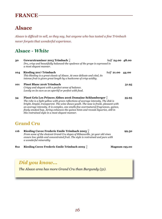# **Alsace**

*Alsace is difficult to sell, so they say, but anyone who has tasted a fine Trimbach never forgets that wonderful experience.* 

## **Alsace -** *White*

| 30  | Gewurztraminer 2015 Trimbach $\forall$<br>Dry, crisp and beautifully balanced-the opulence of the grape is expressed in<br>a most elegant manner.                                                                                                                                                                                                                                                                                                                                           | half 24.00 48.00 |       |
|-----|---------------------------------------------------------------------------------------------------------------------------------------------------------------------------------------------------------------------------------------------------------------------------------------------------------------------------------------------------------------------------------------------------------------------------------------------------------------------------------------------|------------------|-------|
| 104 | <b>Riesling 2017 Trimbach</b><br>This Riesling is a great classic of Alsace. At once delicate and vital, its<br>intense fruit is given great length by a backcome of crisp acidity.                                                                                                                                                                                                                                                                                                         | half 21.00 44.00 |       |
| 101 | <b>Pinot Blanc 2016 Trimbach</b><br>Crispy and elegant with a perfect sense of balance.<br>Lovely on its own as an aperitif or perfect with food.                                                                                                                                                                                                                                                                                                                                           |                  | 31.95 |
| 34  | <b>Pinot Gris Les Princes Abbes 2016 Domaine Schlumberger</b> $\frac{1}{2}$<br>The robe is a light yellow with green reflections of average intensity. The disk is<br>bright, limpid, transparent. The wine shows youth. The nose is frank, pleasant with<br>an average intensity. It is complex, one smells fine overmatured fragrances, quince,<br>finely smoked hop. Airing enhances the quince hints and reveals liquorice, still in<br>this restrained style in a most elegant manner. |                  | 35.95 |
|     | <b>Grand Cru</b>                                                                                                                                                                                                                                                                                                                                                                                                                                                                            |                  |       |
| 116 | Riesling Cuvee Frederic Emile Trimbach 2005<br>From some of the choicest Grand Cru slopes of Ribeauville, 30 year old vines<br>ensure low yields and concentrated fruit. The style is restrained and pure with<br>a wonderful minerality                                                                                                                                                                                                                                                    |                  | 99.50 |

**812 Riesling Cuvee Frederic Emile Trimbach 2005**  $\int$  **Magnum 195.00** 

# *Did you know...*

*The Alsace area has more Grand Cru than Burgundy (51).*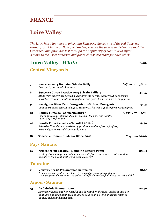# **Loire Valley**

*The Loire has a lot more to offer than Sancerre, choose one of the red Cabernet Francs from Chinon or Bourgueil and experience the finesse and elegance that the Cabernet Sauvignon has lost through the popularity of New World styles. A word to the wise: Sancerre and goats' cheese are made for each other.* 

### Loire Valley - *White* **Bottle Bottle**

#### **Central Vineyards**

| 7                     | <b>Sancerre 2015 Domaine Sylvain Bailly</b><br>Clean, crisp, aromatic Sancerre                                                                                                                                                      | half 20.00 38.00  |       |
|-----------------------|-------------------------------------------------------------------------------------------------------------------------------------------------------------------------------------------------------------------------------------|-------------------|-------|
| 8                     | Sancerre Cuvee Prestige 2019 Sylvain Bailly $\frac{1}{2}$<br>Made from older vines bottled a year after the normal Sancerre. A nose of ripe<br>gooseberries, a full palate hinting of nuts and green fruits with a rich long finish |                   | 44.95 |
| 9                     | Sauvignon Blanc Petit Bourgeois 2018 Henri Bourgeois<br>Coming from the nearest village to Sancerre. This is top quality for a bargain price                                                                                        |                   | 29.95 |
| 12                    | Pouilly Fume de Ladoucette 2019 $\frac{1}{2}$<br>Light hay colour. Citrus and some melon on the nose and palate.<br>Light, dry & refreshing                                                                                         | 125ml 12.75 63.70 |       |
| 10                    | Pouilly Fume Sebastien Treuillet 2019 $\frac{1}{2}$<br>Sebastien Treuillet has consistently produced, without fuss or fanfare,<br>extremely pure, fruit-driven Pouilly Fume.                                                        |                   | 39.50 |
| 811                   | <b>Sancerre Domaine Sylvain Blanc 2018</b>                                                                                                                                                                                          | Magnum 70.00      |       |
|                       | <b>Pays Nantais</b>                                                                                                                                                                                                                 |                   |       |
| 22                    | Muscadet sur Lie 2020 Domaine Luneau Papin<br>Light yellow with green tints, fine nose with floral and mineral notes, and nice<br>weight in the mouth with good clean leesy feel.                                                   |                   | 29.95 |
|                       | <b>Touraine</b>                                                                                                                                                                                                                     |                   |       |
| 11                    | <b>Vouvray Sec 2017 Domaine Champalou</b><br>A delicate straw yellow in colour. Aromas of green apples and quince.<br>Dry, supple and elegant on the palate with further green fruit notes and crisp finish                         |                   | 38.00 |
| <b>Anjou - Saumur</b> |                                                                                                                                                                                                                                     |                   |       |
| 13                    | La Cabriole Saumur 2020<br>Aromas of honey and honeysuckle can be found on the nose, on the palate it is<br>light, dry and crisp, with well balanced acidity and a long lingering finish of<br>quince, melon and honeydew.          |                   | 29.30 |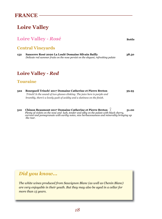# **Loire Valley**

# **Loire Valley - Rosé Bottle**

#### **Central Vineyards**

**152 Sancerre Rosé 2020 La Loulé Domaine Silvain Bailly 38.50**  *Delicate red summer fruits on the nose persist on the elegant, refreshing palate* 

# **Loire Valley -** *Red*

#### **Touraine**

| 522 | <b>Bourgueil Trinch! 2017 Domaine Catherine et Pierre Breton</b>           | 39.95 |
|-----|----------------------------------------------------------------------------|-------|
|     | Trinch! Is the sound of two glasses clinking. The juice here is purple and |       |
|     | brambly, there's a lovely gush of acidity and a slatiness on the finish.   |       |

**510 Chinon Beaumont 2017 Domaine Catherine et Pierre Breton 51.00**   *Plenty of violets on the nose and lush, tender and silky on the palate with black cherry, currant and pomegranate with earthy notes, nice herbaceousness and minerality bringing up the rear.* 

### *Did you know...*

*The white wines produced from Sauvignon Blanc (as well as Chenin Blanc) are very enjoyable in their youth. But they may also be aged in a cellar for more than 15 years.*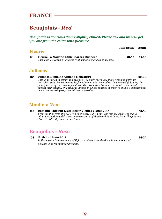# **Beaujolais -** *Red*

*Beaujolais is delicious drunk slightly chilled. Please ask and we will get you one from the cellar with pleasure* 

|                                               | <b>Half Bottle</b>                                                                      | <b>Bottle</b> |
|-----------------------------------------------|-----------------------------------------------------------------------------------------|---------------|
|                                               |                                                                                         |               |
| <b>Fleurie La Madone 2020 Georges Duboeuf</b> | 18.50                                                                                   | 35.00         |
|                                               | <b>Fleurie</b><br>This wine is a charmer with red fruit, iris, violet and spice aromas. |               |

#### **Julienas**

#### **525 Julienas Domaine Armand Heitz 2019 50.00**

*This wine is rich in colour and aromas! The vines that make it are grown in volcanic and schist soils. Environmentally-friendly methods are used on the vineyard following the principles of regenerative agriculture. The grapes are harvested in small cases in order to protect their quality. This cuvée is vinified in whole bunches in order to obtain a complex and delicate wine, using as few additives as possible.*

### **Moulin-a-Vent**

#### **518 Domaine Thibault Liger-Belair Vieilles Vignes 2015 52.50**  *From eight parcels of vines of up to 95 years old, on the nose this shows an appealing hint of reduction which gives way to aromas of kirsch and dark berry fruit. The palate is characteristically mineral and tannic.*

# **Beaujolais -** *Rosé*

#### **154 Château Thivin 2011 34.50**  *Delicate fresh fruit aromas and light, tart flavours make this a harmonious and delicate wine for summer drinking.*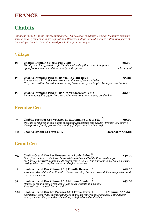# **Chablis**

*Chablis is made from the Chardonnay grape. Our selection is extensive and all the wines are from serious small growers with big reputations. Whereas village wines drink well within two years of the vintage, Premier Cru wines need four to five years or longer.* 

#### **Village**

| 19  | Chablis Domaine Picq & Fils 2020<br>Family run vinery, classic style Chablis with pale yellow color light green<br>apple flavors, lemon and lime acitidy on the finish.                                                                                                                           | 38.00<br>7.60 125 ml |
|-----|---------------------------------------------------------------------------------------------------------------------------------------------------------------------------------------------------------------------------------------------------------------------------------------------------|----------------------|
| 17  | Chablis Domaine Picq & Fils Vieille Vigne 2020<br>Intense nose with fresh citrus aromas and notes of pear and silex.<br>Crisp and medium bodied with a creamy texture and great length. An impressive Chablis.                                                                                    | 35.00                |
| 15  | Chablis Domaine Picq & Fils "En Vaudecorce" 2015<br>Light lemon yellow, good florality and minerality fantastic very good value.                                                                                                                                                                  | 40.00                |
|     | <b>Premier Cru</b>                                                                                                                                                                                                                                                                                |                      |
| 37  | Chablis Premier Cru Vosgros 2014 Domaine Picq & Fils $\frac{1}{2}$<br>Delicate floral aromas and classic minerality characterise this excellent Premier Cru ftvom a<br>distinguished family grower. Outstanding, full-flavoured and powerful.                                                     | 60.00                |
| 019 | Chablis 1er cru La Foret 2012                                                                                                                                                                                                                                                                     | Jereboam 530.00      |
|     | <b>Grand Cru</b>                                                                                                                                                                                                                                                                                  |                      |
| 115 | Chablis Grand Cru Les Preuses 2012 Louis Jadot Y<br>One of the 7 'climats' which can be called Grand Cru in Chablis, Preuses displays<br>the finesse and structure you would expect from a wine of this class. The wines have powerful,<br>distinguished and complex aromas and a firm structure. | 149.00               |
| 49  | Chablis Grand Cru Valmur 2015 Famille Brocard $\frac{1}{2}$<br>A complex Grand Cru Chablis with a distinctive salty character beneath its buttery, citrus and<br>toasted spice notes.                                                                                                             | 105.00               |
| 55  | $\chi$<br>Chablis Grand Cru Valmur 2012 Moreau Naudet                                                                                                                                                                                                                                             | 145.00               |

- *Honey, floral and some green apple. The pallet is subtle and sublime. Tropical, and a smooth buttery finish.*
- **022 Chablis Grand Cru Les Preuses 2019 Fevre-Fevre** *Magnum* **300.00** *Floral nose, with fruity aromas enhanced by intense mineral notes and developing lightly smoky touches. Very round on the palate, both full-bodied and refined.*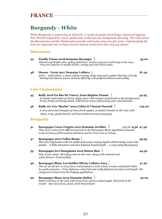# **Burgundy -** *White*

*White Burgundy is improving at all levels: a result of greater knowledge, improved hygiene, New World competition, lower yields and, at the top end, biodynamic farming. The wines from the Maconnaise and the Chalonnaise provide well made wines at a fair price. Unfortunately the best are expensive but we have several mature wines from the very top estates.* 

#### **Maconnais**

| 33 | Pouilly Fuisse 2018 Domaine Beranger $\frac{1}{2}$<br>Vibrant and bright color, yellow gold hints. Aromas of peach and honey in the nose.<br>Very nice balance in mouth of lime, orange peel and citrus notes.                                                                                     | 55.00  |
|----|----------------------------------------------------------------------------------------------------------------------------------------------------------------------------------------------------------------------------------------------------------------------------------------------------|--------|
| 48 | Macon - Verzé 2017 Domaine Leflaive Q<br>green – gold colour, a clean, subtly creamy, zesty nose and a palate that has a lovely<br>density and almost waxen richness lifted by a beautiful freshness and acidity.                                                                                  | 87.50  |
|    | <b>Cote Chalonnaise</b>                                                                                                                                                                                                                                                                            |        |
| 45 | Rully 2016 En Bas De Vauvry Jean-Baptise Ponsot $\frac{1}{2}$<br>Aromatic expression of citrus, apple, pear with aromas of almonds in the background.<br>Fresh, fruity and lively attack, with lemon notes, followed by pear and almonds.                                                          | 54.95  |
| 36 | Rully 1er Cru "Raclot" 2012 Celine & Vincent Dureuil $\frac{1}{4}$                                                                                                                                                                                                                                 | 105.00 |
|    | A very attractive bouquet of clean fresh apples, aromatic brioche on the nose with<br>clean, crisp, peach-kernel, and lime-fruited aromas emerging.                                                                                                                                                |        |
|    | <b>Burgundy</b>                                                                                                                                                                                                                                                                                    |        |
| 41 | Bourgogne Cuvee Forgets 2012 Domaine Javillier $\frac{1}{2}$<br>125 ml 9.50 47.50<br>This cuvee comes from different parcels in the Bourgogne Blanc appellation situated<br>in the territory of Mersault les Herbeux and les Vaux next to Volnay.                                                  |        |
| 47 | Bourgogne 2012 Tollot-Beaut $\frac{1}{2}$<br>The nose impresses with its width and some creamy depth which nicely covers the<br>palate – a little structure and nice balance. Good length – a very tasty Bourgogne.                                                                                | 45.95  |
| 53 | Bourgogne les Champlains 2012 Simon Bize $\frac{1}{2}$<br>Pale straw colour. Brooding note on the nose, along with mineral and<br>white flowers. Good acidity.                                                                                                                                     | 44.50  |
| 40 | Bourgogne Blanc Les Setilles Olivier Leflaive 2015<br>The use of oak here is very clever and produces a wine whose aromas and palate belies<br>its youth and price. It has delicious crisp fruit and really fabulous structure and length. The<br>vineyard is inches from the Puligny appellation. | 47.50  |
| 99 | Bourgogne Blanc 2013 Domaine Bzikot Y<br>Butter and hay on the nose with stone fruit, apricot, baked apple. Rich fruit in the<br>mouth - ripe stone fruit, peach, fresh bread butter                                                                                                               | 50.00  |
|    |                                                                                                                                                                                                                                                                                                    |        |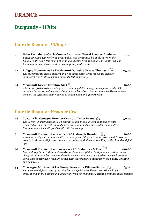### **Burgundy -** *White*

#### **Cote de Beaune -** *Village*

**71 Saint Romain 1er Cru la Combe Bazin 2012 Pascal Prunier-Bonheur 57.50**  *Single vineyard wine offering great value. It is dominated by apple notes on the bouquet with just a faint whiff of vanilla and spice from the cask. The palate is lively, fresh and with a vibrant acidity bringing the palate to life.* **42** Puligny Montrachet Le Trézin 2016 Domaine Gérard Thomas  $\frac{1}{2}$  115.00 *The nose presents acacia blossom and ripe apple scent, while the palate delights with sweet ripe fruits, toast and minerals. Satiny texture.*

**44 Meursault Joseph Drouhin 2013** 70.00 *A beautiful golden colour and a great aromatic palette: honey, linden flower ("tilleul"), hazelnut butter, sometimes even chamomile or hawthorn. On the palate, a silky roundness. Long on the aftertaste, with flavours of yellow plum and gingerbread".*

#### **Cote de Beaune -** *Premier Cru*

- **46 Corton Charlemagne Premier Cru 2012 Tollot Beaut**  $\sqrt{\frac{1}{2}}$  **250.00** *The Corton-Charlemagne 2012 is beautiful yellow in colour with light golden tints. Powerful aromas of fresh almond emerge accompanied by nice mellow oaky notes. It is an ample wine with good length. Still improving...*
- **51 Meursault Premier Cru Perrieres 2014 Joseph Drouhin 170.00**  *A complex and generous wine, with a rare elegance. Silky and ample texture which does not exclude freshness or lightness. Long on the palate, with flavours recalling grilled bread and fruit jam*
- **50 Meursault Premier Cru Genevrieres 2010 Monnier & Fils 190.00**  *Pierre Morey Blanc is the ex-winemaker at Domaine Leflaive. Biodynamic practices on the vineyard with some battonage in the cellar. A charming nose of spiced orange peel, creamy citrus with honeysuckle, medium bodied with lovely smoked minerals on the palate. Uplifting and generous.*
- **54 Chassagne Montrachet Les Encégnieres 2012 Etienne Sauzet 165.00**  *The strong and fresh taste of the wine has a surprisingly silky texture. Minerality is present only in the background, and bright fruit tones and juicy acidity dominate in the bouquet.*

*22*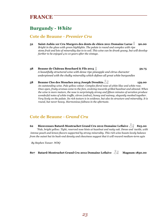#### **Burgundy -** *White*

#### **Cote de Beaune -** *Premier Cru*

- **52** Saint-Aubin 1er Cru Murgers des dents de chien 2011 Domaine Larue <sup>1</sup> 90.00 *Bright in the glass with green highlights. The palate is round and complex with ripe stone fruit and lots of minerality due to to soil. This wine can be drunk young, but will develop further to be enjoyed 4 to 10 years after the vintage.*
- **38 Beaune de Château Bouchard & Fils 2015 59.75**  *A beautifully structured wine with dense ripe pineapple and citrus character underpinned with the chalky minerality which defines all great white burgundies*
- **58 Beaune Clos des Mouches 2014 Joseph Drouhin 159.00**  *An outstanding wine. Pale yellow colour. Complex floral nose of white lilac and white rose. Once open, fruity aromas come to the fore, evolving towards grilled hazelnut and almond. When the wine is more mature, the nose is surprisingly strong and fifteen minutes of aeration produce wonderful notes of white truffle, citron (cedrat), honey and nutmeg, elegantly meshed together. Very lively on the palate. Its rich texture is in evidence, but also its structure and minerality. It is round, but never heavy. Harmonious fullness in the aftertaste.*

#### **Cote de Beaune -** *Grand Cru*

**62 Bienvenues Batard-Montrachet Grand Cru 2012 Domaine Leflaive 825.00**  *"Pale, bright yellow. Tight, reserved nose hints at hazelnut and nutty oak. Dense and tactile, with intense peach and lemon flavors supported by strong minerality. This rich wine boasts lovely balance from the outset but its back-end density and chewiness suggest that it will reward medium-term agin*

*By Stephen Tanzer. WDQ*

**807 Batard-Montrachet Grand Cru 2012 Domaine Leflaive Magnum 1850.00**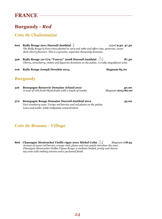### **Burgundy -** *Red*

#### **Cote de Chalonnaise**

| 602 | Rully Rouge 2011 Dureuil-Janthial $\gamma$<br>The Rully Rouge is from vines planted in 1974 and 1980 and offers ripe, generous, sweet<br>dark-cherry flavours. This is a genuine, superstar Burgundy domaine. | $125ml$ 9.50 47.50         |
|-----|---------------------------------------------------------------------------------------------------------------------------------------------------------------------------------------------------------------|----------------------------|
| 526 | Rully Rouge 1er Cru "Vauvry" 2008 Dureuil-Janthial $\sqrt{2}$<br>Cherry, strawberry, violets and liquorice dominate on the palate. A trully magnificent wine.                                                 | 87.50                      |
| 016 | <b>Rully Rouge Joseph Drouhin 2014</b>                                                                                                                                                                        | Magnum 85.00               |
|     | <b>Burgundy</b>                                                                                                                                                                                               |                            |
| 516 | <b>Bourgogne Roncevie Domaine Arlaud 2012</b><br>A nose of rich fresh black fruits with a touch of smoke.                                                                                                     | 40.00<br>Magnum 2015 80.00 |
| 570 | <b>Bourgogne Rouge Domaine Dureuil-Janthial 2012</b><br>Tart cranberry nose. Unripe red berries and red plums on the palate.<br>Lean and acidic. Little midpalate concentration                               | 45.00                      |

#### **Cote de Beaune -** *Village*

**806 Chassagne Montrachet Vieille vigne 2001 Michel Colin** *Magnum* **178.95**  *Aromas of sweet red berries, orange rind, plums and rose petals introduce the 2001 Chassagne-Montrachet Vieilles Vignes Rouge, a medium-bodied, pretty and charming wine with melting tannins and a perfumed finish.*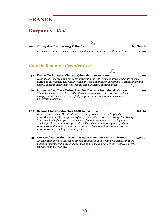#### **Burgundy -** *Red*

#### **194 Chorey-Les-Beaune 2013 Tollot Beaut half bottle**

*Fresh ripe strawberry fruit with a touch of vanilla and pepper on the aftertaste.* **35.00**

Лq

**Cote de Beaune -** *Premier Cru* 

#### **532 Volnay Le Ronceret Chateau Génot-Boulanger 2010 95.00**

*Nose of extract of red and black pinot fruit though with graceful floral and hints of spice notes adding nuance. The concentrated, intense and punchy flavors are delicious, pure and sappy, all wrapped in a linear, driving and pungently mineral finish.*  ⋌ϙ

- **962 Pommard Les Croix Noires Premier Cru 2012 Domaine de Courcel 115.00**  *The full, rich and sweet big-bodied flavors are very fresh and possess excellent energy and verve on the wonderfully long finish that is both balanced and penetrating. Lovely.*
- **902 Beaune Clos des Mouches 2008 Joseph Drouhin 129.50**

*An exceptional wine. Beautiful, deep-red ruby colour, with the bright sheen of great Burgundies. Primary notes of red fruit dominate, such raspberry, blackberry. There are hints of complexity with smoky flavours evolving towards liquorice. The body is firm without being rough, well meshed without being heavy. There remains a final and most pleasing sensation of harmony, fullness and delicate tannins, as the wine lingers on the palate.* 

**963 Gevrey Chambertin Clos SaintJacques Domaine Bruno Clair 2004 150.00**  *An elegant mix of red and black pinot fruit and subtle spice and earth notes that are followed by powerful, pure and balanced middle weight flavors that possess a lovely sweetness and a freshness.* 

 $\lambda$ 

 $X_{P}$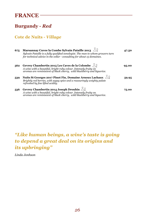## **Burgundy -** *Red*

#### **Cote de Nuits -** *Village*

| 675 | Marsannay Cuvee la Combe Sylvain Pataille 2013<br>Sylvain Pataille is a fully qualified oenologist. The man to whom growers turn<br>for technical advice in the cellar - consulting for about 15 domaines. | 47.50 |
|-----|------------------------------------------------------------------------------------------------------------------------------------------------------------------------------------------------------------|-------|
| 562 | Gevrey Chambertin 2015 Les Caves de la Colombe<br>A wine with a beautiful, bright ruby colour. Intensely fruity on<br>aromas are reminiscent of black cherry, wild blackberry and liquorice.               | 95.00 |
| 539 | Nuits St Georges 2017 Pinot Fin, Domaine Arnoux Lachaux $\sqrt{2}$<br>Brightly red berries, with sappy spice and a reassuringly weighty palate<br>refreshed by fine lifted acidity.                        | 59.95 |
| 536 | Gevrey Chambertin 2014 Joseph Drouhin $\sqrt{2}$<br>A wine with a beautiful, bright ruby colour. Intensely fruity on<br>aromas are reminiscent of black cherry, wild blackberry and liquorice.             | 75.00 |

 $\rightarrow$ 

# *"Like human beings, a wine's taste is going to depend a great deal on its origins and its upbringing"*

*Linda Jonhson*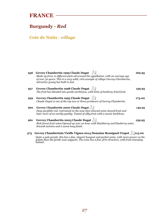### **Burgundy -** *Red*

### **Cote de Nuits -** *village*

| 956 | Gevrey Chambertin 1999 Claude Dugat $\sqrt{2}$<br>Made up from 12 different plots all around the appellation, with an average age<br>of over 50 years. This is a very solid, rich example of village Gevrey-Chambertin,<br>attractive young but built to last. | 169.95 |
|-----|----------------------------------------------------------------------------------------------------------------------------------------------------------------------------------------------------------------------------------------------------------------|--------|
| 957 | Gevrey Chambertin 1998 Claude Dugat $\sqrt{2}$<br>The fruit has blended into gentle earthiness, with hints of leathery dried fruit.                                                                                                                            | 159.95 |
| 959 | Gevrey Chambertin 1995 Claude Dugat $\sqrt{2}$<br>Claude Dugat is one of the top two or three producers of Gevrey Chambertin.                                                                                                                                  | 175.00 |
| 960 | Gevrey Chambertin 2000 Claude Dugat $\mathcal{R} \mathcal{S}$<br>Deep purplish-red, restrained on the nose then showed some stewed fruit and<br>later more of an earthy quality. Tasted of silky fruit with a tannic backbone.                                 | 149.95 |
| 961 | Gevrey Chambertin 2003 Claude Dugat $\sqrt{\ }$<br>Rich forest fruit notes. Opened up over an hour with blackberry and blueberry notes.<br>Smooth tannins and a sweet long finish.                                                                             | 139.95 |
| 573 | Gevrey Chambertain Vieille Vignes 2014 Domaine Rossignol-Trapet X 715.00                                                                                                                                                                                       |        |

*Quite a pale purple, this has a fine, elegant bouquet and perfect poise, with more power on the palate than the gentle nose suggests. The wine has a fine, firm structure, with fruit emerging behind.*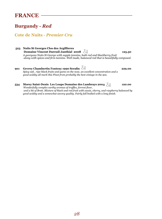### **Burgundy -** *Red*

#### **Cote de Nuits -** *Premier Cru*

- **523 Nuits St Georges Clos des Argillieres Domaine Vincent Dureuil-Janthial 2008**  $\sqrt[3]{2}$  125.50 *A georgous Nuits St George with supple tannins, both red and blackberry fruit along with spices and firm tannins. Well made, balanced red that is beautifully composed.*
- **901 Gevrey Chambertin Fonteny 1990 Serafin 229.00** *Spicy oak , ripe black fruits and game on the nose, an excellent concentration and a good acidity all mark this Pinot from probably the best vintage in the 90s.*

#### **534 Morey Saint-Denis Les Loups Domaine des Lambrays 2004**  $\sqrt{2}$  **120.00**  *Wonderfully complex earthy aromas of truffles, forrest floor, and a bit of Brett. Mixture of black and red fruit with cassis, cherry, and raspberry balanced by good acidity and a somewhat savory quality. Fairly full bodied with a long finish.*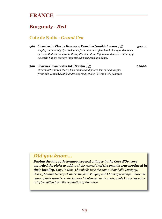### **Burgundy -** *Red*

#### **Cote de Nuits -** *Grand Cru*

#### **966 Chambertin Clos de Beze 2004 Domaine Drouhin Laroze 300.00**

*A spicy and notably ripe dark pinot fruit nose that offers black cherry and a touch of cassis that continues onto the tightly wound, earthy, rich and austere but amply powerful flavors that are impressively backward and dense.* 

**900 Charmes Chambertin 1996 Serafin 350.00** *Great black and red cherry fruit on nose and palate, lots of baking spice front-and-center.Great fruit density really shows itsGrand Cru pedigree* 

#### *Did you know...*

*rally benefitted from the reputation of Romanee.* 

*During the late 19th century, several villages in the Cote d'Or were awarded the right to add to their name(s) of the grands crus produced in their locality. Thus, in 1882, Chambolle took the name Chambolle-Musigny, Gevrey became Gevrey-Chambertin, both Puligny and Chassagne villages share the name of their grand cru, the famous Montrachet and Ladoix, while Vosne has natu-*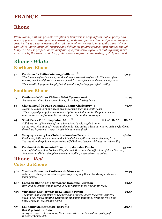### **Rhone**

*White Rhone, with the possible exception of Condrieu, is very unfashionable, partly as a result of grape varieties few have heard of, partly the often overblown style and partly its cost. All this is a shame because the well made wines are lost to most white wine drinkers. Our white Chateauneuf will surprise and delight the palates of those open minded enough to try it. There is proper Chateauneuf du Pape from serious growers that is getting more expensive by the second and cheap, dilute, over- sugared wines tasting of dirty old wood.* 

### **Rhone -** *White*

#### **Northern Rhone**

| 57  | Condrieu La Petite Cote 2013 Cuilleron $\Delta$<br>This is a wine of serious pedigree, the ultimate expression of terroir. The nose offers<br>apricot, peach and floral aromas, all of which are confirmed on the succulent palate.<br>The wine displays great length, finishing with a refreshing grapefruit acidity. | 99.50 |
|-----|------------------------------------------------------------------------------------------------------------------------------------------------------------------------------------------------------------------------------------------------------------------------------------------------------------------------|-------|
|     | <b>Southern Rhone</b>                                                                                                                                                                                                                                                                                                  |       |
| 29  | Costieres de Nimes Château Saint Cyrgues 2016<br>Fruity wine with spicy aromes, honey citrus long lasting finish                                                                                                                                                                                                       | 27.95 |
| 67  | Chateauneuf-du-Pape Domaine Chante Cigale 2017<br>Deeply coloured with fine, fresh aromas of ripe pear and white peach.<br>When enjoyed young, freshness and a lighter touch dominates the palate; as the<br>wine matures, the flavours become deeper, richer and more complex.                                        | 59.95 |
| 14  | Saint-Péray Pic & Chapoutier 2016<br>$125$ ml $16.00$<br>Collaboration of French chef and winemaker. Lovely tropical notes<br>on the nose with hints of flowers and vanilla. The palate is lush but not too oaky or flabby as<br>the acidity is present to keep it fresh. Medium long finish.                          | 80.00 |
| 18  | Vacqueyras 2015 Les Christins domaine Perrin $\frac{1}{2}$<br>Fresh nose, delicate fruit notes with white flesh fruit, discreet notes of ageing in oak.<br>The attack on the palate presents a beautiful balance between richness and minerality.                                                                      | 46.60 |
| 82  | Coudoulet de Beaucastel Blanc 2014 domaine Perrin<br>A mix of Clairette, Bourboulenc, Viognier and Marsanne that offers lots of citrus blossom,<br>lemon zest and hints of apple in a medium-bodied, racy style on the palate.                                                                                         | 55.00 |
|     | <b>Rhone</b> - Red                                                                                                                                                                                                                                                                                                     |       |
|     | <b>Cotes du Rhone</b>                                                                                                                                                                                                                                                                                                  |       |
| 507 | Mas Des Bressades Costieres de Nimes 2016<br>A dark rich cherry scented nose gives way to a juicy thick blackberry and cassis<br>laden palate                                                                                                                                                                          | 29.95 |
| 660 | <b>Cotes du Rhone 2019 Samorens Domaine Ferraton</b><br>Rich and powerful, a wonderful wine for grilled meat and game food.                                                                                                                                                                                            | 29.95 |
| 515 | <b>Vinsobres Les Cornuds 2014 Famille Perrin</b><br>The wine is an even blend of Grenache and Syrah, where the latter is partly<br>aged in oak for 18 months. Grippy tannins meld with juicy bramble fruit plus<br>notes of bacon, violets and herbs.                                                                  | 29.95 |
| 551 | <b>Coudoulet de Beaucastel 2013</b> $\bigcup\limits_{\mathcal{C}}$<br>815 Mag 2009 110.00<br>It is often referred to as a baby Beaucastel. When one looks at the geology of                                                                                                                                            | 49.50 |

*the soil at Coudoulet.*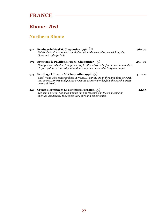#### **Rhone -** *Red*

#### **Northern Rhone**

**972 Ermitage le Meal M. Chapoutier 1998 360.00**  *Full-bodied with balanced rounded tannis and sweet tobacco enriching the black and red ripe fruit*  **974 Ermitage le Pavillon 1998 M. Chapoutier 450.00**  *Dark garnet red color; lovely rich beef broth and roast beef nose; medium bodied, elegant palate of tart red fruit with creamy meat jus and velvety mouth feel.*  **975 Ermitage L'Ermite M. Chapoutier 1998 510.00**  *Black fruits with spices and ink overtones. Tannins are in the same time powerful and velvety. Smoky and pepper overtones express wonderfully the Syrah variety on granitic soil.*  **540 Crozes Hermitages La Matiniere Ferraton**  $\sqrt{2}$  **44.95** *The firm Ferraton has been making big improvements in their winemaking over the last decade. The style is very pure and concentrated*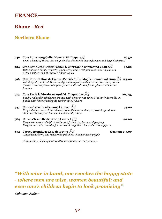#### **Rhone -** *Red*

#### **Northern Rhone**

| 546 | Cote Rotie 2003 Gallet Henri & Phillippe $\sqrt{2}$<br>96.50<br>From a blend of Shiraz and Viognier, this shows rich meaty flavours and deep black fruit.                                                                                                            |
|-----|----------------------------------------------------------------------------------------------------------------------------------------------------------------------------------------------------------------------------------------------------------------------|
| 704 | Cote Rotie Cote Rozier Patrick & Christophe Bonnefond 2008<br>95.00<br>Cote Rotie is a highly respected and increasingly prestigious red wine appellation<br>at the northern end of France's Rhone Valley                                                            |
| 556 | Cote Rotie Colline de Couzou Patrick & Christophe Bonnefond 2009 > 9 125.00<br>100 % Syrah, dark red. Has a smoky, mulberry air, soaked red cherries and griottes.<br>There's a crunchy theme along the palate, with red stone fruits, plums and incisive<br>tannins |
| 973 | Cote Rotie la Mordoree 1998 M. Chapoutier $\sqrt{\ }$<br>299.95<br>Smoky red and black cherry aromas with dense meaty spice. Similar fruit profile on<br>palate with hints of emerging earthy, spicy flavors.                                                        |
| 547 | Cornas Terre Brulee 2007 Lionnet<br>95.00<br>Very old vines and as little interference in the wine making as possible, produce a<br>stunning Cornas from this small high quality estate.                                                                             |
| 584 | Cornas Terre Brulee 2009 Lionnet $\sqrt{\ }$<br>90.00<br>Very clean pure and hight toned nose of dried raspberry and peppery.<br>Very round and accessable for cornas. A very nice wine and extremely pure.                                                          |
| 834 | Crozes Hermitage LesJalets 1999<br><b>Magnum 135.00</b><br>A light strawberry and redcurrant fruitiness with a touch of pepper                                                                                                                                       |

*distinguishes this fully mature Rhone, balanced and harmonious.* 

*"With wine in hand, one reaches the happy state - where men are wise, women beautiful; and even one's children begin to look promising"* 

*Unknown Author*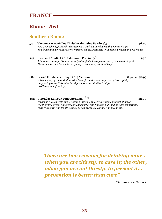#### **Rhone -** *Red*

#### **Southern Rhone**

- **545 Vacqueyras 2018 Les Christins domaine Perrin**  $\frac{1}{2}$   $\frac{1}{2}$  46.60 *75% Grenache, 25% Syrah, This wine is a dark plum colour with aromas of ripe red fruits and a rich, lush, concentrated palate. Fantastic with game, venison and red meats.*
- **542 Rasteau L'andéol 2019 domaine Perrin 45.50**  *A balanced vintage. Complex nose (notes of blackberry and cherry), rich and elegant. The tannic texture is structured giving a nice vintage that will age.*
- **884 Persia Fondreche Rouge 2015 Ventoux** *Magnum* **57.95**  *A Grenache, Syrah and Mouvedre blend from the best vinyards of this rapidly improving area. This wine is silky smooth and similar in style to Chateauneuf du Pape.*
- **682 Gigondas La Tour 2020 Montirus 52.00**  *Its dense ruby/purple hue is accompanied by an extraordinary bouquet of black raspberries, kirsch, liquorice, crushed rocks, and flowers. Full-bodied with sensational texture, purity, and length as well as remarkable elegance and freshness.*

*"There are two reasons for drinking wine... when you are thirsty, to cure it; the other, when you are not thirsty, to prevent it... prevention is better than cure"* 

*Thomas Love Peacock*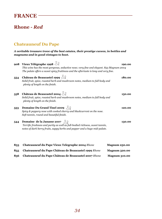### **Rhone -** *Red*

#### **Chateauneuf Du Pape**

*A veritable treasure trove of the best estates, their prestige cuvees, in bottles and magnums and in good vintages to boot.* 

|     | 908 Vieux Télégraphe 1998 $\frac{1}{2}$<br>This wine has the most gorgeous, seductive nose; very fine and elegant. 853 Magnum 2004<br>The palate offers a sweet spicy fruitiness and the aftertaste is long and very fine. | 190.00 |
|-----|----------------------------------------------------------------------------------------------------------------------------------------------------------------------------------------------------------------------------|--------|
| 554 | Château de Beaucastel 1999 $\sqrt{2}$<br>Solid fruit, spice, roasted herb and mushroom notes, medium to full body and<br>plenty of length on the finish.                                                                   | 180.00 |
| 558 | Château de Beaucastel 2004 $\sqrt{3}$<br>Solid fruit, spice, roasted herb and mushroom notes, medium to full body and<br>plenty of length on the finish.                                                                   | 150.00 |
| 553 | <b>Domaine Du Grand Tinel 2009</b> $\sqrt{2}$<br>Spicy & peppery nose with cooked cherry and blackcurrent on the nose.<br>Soft tannin, round and beautiful finish.                                                         | 120.00 |
| 544 | <b>Domaine de la Janasse 2007</b> $\bigcup_{\mathcal{S}}$<br>Terrific freshness and purity as well as full-bodied richness, sweet tannin,<br>notes of dark berry fruits, sappy herbs and pepper and a huge mid-palate.     | 130.00 |

| 853  | <b>Chateauneuf du Pape Vieux Telegraphe 2004 Rhone</b> | <b>Magnum 250.00</b> |
|------|--------------------------------------------------------|----------------------|
| 855. | Chateauneuf du Pape Château de Beaucastel 1999 Rhone   | <b>Magnum 320.00</b> |
| 856  | Chateauneuf du Pape Château de Beaucastel 2007 Rhone   | <b>Magnum 310.00</b> |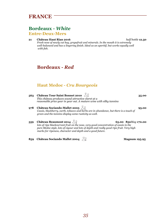# **FRANCE**

## **Bordeaux -** *White*

#### **Entre-Deux-Mers**

#### **21 Château Haut Rian 2016** *half bottle* **12.50**

*Fresh nose of newly cut hay, grapefruit and minerals. In the mouth it is extremely well-balanced and has a lingering finish. Ideal as an aperitif, but works equally well with fish.* 

# **Bordeaux -** *Red*

### **Haut Medoc -** *Cru Bourgeois*

- **563 Château Tour Saint Bonnet 2010 35.00**  *This château produces sound attractive claret at a reasonable price year in year out. A mature wine with silky tannins*
- **978 Château Sociando-Mallet 2005 95.00**  *Cassis, blackberry, earth, tobacco and herbs are in abundance, but there is a touch of green and the tannins display some rusticity as well.*
- **559 Château Beaumont 2014 65.00 852***Mag* **170.00**  *lots of ripe blackcurrant fruit on the nose, very good concentration of cassis in the pure Medoc style, lots of vigour and lots of depth and really good ripe fruit. Very high marks for ripeness, character and depth and a good future.*
- **859 Château Sociando Mallet 2004 Magnum 195.95**

*35*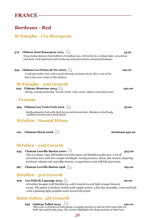### **St Estephe -** *Cru Bourgeois*

| 579 | Château Haut Beausejour 2015 $\sqrt{2}$<br>Very smoky damson fruit behind a brooding nose. Attractive in a robust style, very dense<br>and dark, well-balanced with corduroy-textured tannins and good freshness.                                                                                                 | 45.95           |
|-----|-------------------------------------------------------------------------------------------------------------------------------------------------------------------------------------------------------------------------------------------------------------------------------------------------------------------|-----------------|
| 942 | Château Les Ormes de Pez 2000 $\sqrt{2}$<br>A soft agreeable wine with a good intensity of mature fruit, this is one of the<br>best wines ever made at this château                                                                                                                                               | 129.00          |
| 929 | <b>St Estephe - 2nd Growth</b><br>Château Montrose 2005<br>Heady, sweetly perfumed. Tannic, fresh, crisp, cassis, tobacco and spicy notes.                                                                                                                                                                        | 250.00          |
|     | <b>Fronsac</b>                                                                                                                                                                                                                                                                                                    |                 |
|     | 564 Château Les Trois Croix 2012 $\sqrt{2}$                                                                                                                                                                                                                                                                       | 59.90           |
|     | Really pleasant fruit with dark berry and almond skin. Medium-to-full body,<br>medium tannins and a fresh finish.                                                                                                                                                                                                 |                 |
|     | <b>StJulien - Second Wines</b>                                                                                                                                                                                                                                                                                    |                 |
| 021 | <b>Chateau Gloria 2008</b>                                                                                                                                                                                                                                                                                        | Jereboam 450.00 |
|     | <b>StJulien - 2nd Growth</b>                                                                                                                                                                                                                                                                                      |                 |
| 945 | <b>Chateau Leoville Barton 2000</b><br>This is a dense, ripe, full bodied red with cassis and blackberry flavours. A lot of<br>extraction here with nice weight and depth. Lovely presence, dense, fine texture, lingering<br>freshness, elegant oak and silky tannins. A superlative wine still full of promise. | 325.00          |
|     | $\Omega$ <sub>r</sub> the set $\mathbf{I}$ and $\mathbf{B}$ and $\mathbf{A}$ and $\mathbf{A}$                                                                                                                                                                                                                     |                 |

**967** Chateau Leoville Barton 1998  $\sqrt{9}$ 

### **StJulien -** *3rd Growth*

**909 Les Fiefs de Lagrange 2015 90.00**  *Attractive bouquet with blackberry, wild strawberry and light orange blossom scents. The palate is medium-bodied with supple tannin, a fine line of acidity, crisp and fresh with a pleasing light graphite seam toward the finish.* 

### **Saint Julien-** *4th Growth*

**925 Château Talbot 2014**  $\bigcirc$   $\bigcirc$  **140.00 140.00** *This wine is structured with plenty of supple tannins as well as fruit notes that are both ripe and freshly juicy. The texture highlights the dusty tannins at their best.*

#### *36*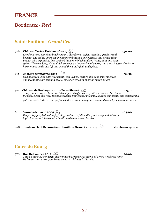## **Saint-Emilion -** *Grand Cru*

- **916 Château Tertre Roteboeuf 2009 450.00**  *Knockout nose combines blackcurrant, blackberry, coffee, menthol, graphite and licorice. The palate offers an uncanny combination of sweetness and penetrating power, with expansive, fine-grained flavors of black and red fruits, mint and sweet spices. The very long, rising finish conveys an impression of energy and great finesse, thanks to harmonious acids that lift and extend the wine's fruit and spices.*  **917 Château Saintayme 2013 59.50**  *well balanced wine with nice length, soft velvety texture and good fruit ripeness and freshness. One can find cassis, blackberries, hint of cedar on the palate.*  **574** Château de Rocheyron 2010 Peter Sisseck  $\frac{1}{2}$  8 **125.00** *Deep plum-ruby – a beautiful intensity – this offers dark fruit, macerated cherries on the nose, sweet and ripe. The palate shows tremendous integrity, layered complexity and considerable potential, Silk-textured and perfumed, there is innate elegance here and a lovely, wholesome purity.*
- **681 Aromes de Pavie 2005 105.00**  *Deep ruby/purple-hued, soft, fruity, medium to full-bodied, and spicy with hints of high class cigar tobacco mixed with cassis and sweet cherries*
- **018** Chateau Haut Brisson Saint Emillion Grand Cru 2009  $\frac{1}{2}$  Jereboam 750.00

### **Cotes de Bourg**

**578** Roc De Cambes 2012  $\sqrt[3]{2}$  **120.00** *This is a serious, wonderful claret made by Francois Mitjavile of Tertre Roteboeuf fame. He harvests as late as possible to get extra richness in his wine*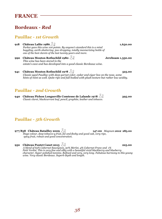### **Pauillac -** *1st Growth*

- **918 Château Lafite 1986 1,650.00** *Parker gave this wine 100 points. By anyone's standard this is a mind boggling, earth-shattering; jaw dropping, totally mesmerizing bottle of one of the best clarets of the last twenty years and more.*
- **990 Château Mouton Rothschild 1980 Jereboam 1,350.00**  *This wine has been stored in the estate's cave and has developed into a good classic Bordeaux wine.*
- **941 Château Mouton Rothschild 1978 525.00**  *Classic aged Pauillac with deep garnet color, cedar and cigar box on the nose, some hints of mint as well. Quite ripe and full bodied with plush texture but rather low acidity.*

### **Pauillac -** *2nd Growth*

**940 Château Pichon Longueville Comtesse de Lalande 1978 395.00**  *Classic claret, blackcurrant leaf, pencil, graphite, leather and tobacco.* 

### **Pauillac -** *5th Growth*

- **977/858 Château Batailley 2009 147.00** *Magnum 2012* **285.00** *Huge colour, deep tobacco-y fruit, fat and fleshy and good oak, very ripe, spicy fruit, robust and good concentration.*
- **950 Château Pontet Canet 2015 225.00**  *A blend of 65% Cabernet Sauvignon, 30% Merlot, 4% Cabernet Franc and 1% Petit Verdot. This is very fine and silky with a beautiful vivid blackberry and blueberry character. Super polished tannins. Refined and very, very long. Fabulous harmony to this young wine. Very classic Bordeaux. Superb depth and length.*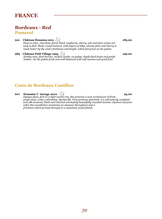**Pomerol** 

#### **912 Château Hosanna 2011 185.00**

*Deep in color, chocolate, floral, black raspberry, cherry, oak and plum scents are easy to find. Plush, round textures, with layers of silky, velvety plum and cherry is made better by the wine's freshness and length, which feel great on the palate.* 

**985 Château Petit Village 1995 199.00**  *Earthy nose, dark berries, modest smoke, on palate, depth dark fruits and gentle leather. On the palate fresh and well balanced with soft tannins and good fruit*

### **Cotes de Bordeaux Castillon**

#### **607 Domaine L' Aurage 2010 95.00**

*Opaque plum, firm to a tight scarlet rim, this presents a nose reminiscent of fresh grape must, with a refreshing, sherbet lift. Very primary and fresh, it is attractively weighted and silk-textured, black and red fruit enveloping beautifully rounded tannins. Opulent and powerful, this nonetheless maintains an elegance throughout and a precision which persists through to a sustained, poised finish.*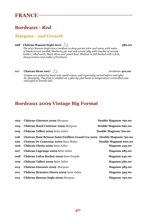#### **Margaux -** *2nd Growth*

### **928 Château Rauzan Segla 2012 380.00**

*The 2012 Rauzan-Segla has a medium to deep garnet color and opens with notes of blackcurrant cordial, blueberry pie and redcurrant jelly with touches of sweaty leather, tilled earth, black olives and pencil lead. Medium to full-bodied with a firm, chewy texture and oodles of freshness.*

**017 Chateau Siran 2007**  $\bigcup_{\mathcal{L}} \bigotimes$ 

*Grapes are picked by hand into small crates, and rigorously sorted before and after de-stemming. The fruit is vinified on a plot-by-plot basis in temperature-controlled vats and aged in French oak.*

## **Bordeaux 2009 Vintage Big Format**

| 003 | Château Giscours 2009 Margaux                                           | Double Magnum 790.00 |
|-----|-------------------------------------------------------------------------|----------------------|
| 004 | Château Boyd Cantenac 2009 Margaux                                      | Double Magnum 690.00 |
| 005 | Château Talbot 2009 Saint Julien                                        | Double Magnum 760.00 |
| 018 | Chateau Haut Brisson Saint Emillion Grand Cru 2009 Double Magnum 750.00 |                      |
| 020 | <b>Chateau De Camensac 2009 Haut Medoc</b>                              | Double Magnum 600.00 |
| 006 | Château Gloria 2009 Saint Julien                                        | <b>Magnum 245.00</b> |
| 007 | Château Lagrange 2009 Saint Julien                                      | <b>Magnum 285.00</b> |
| 008 | Château Lafon Rochet 2009 Saint Estephe                                 | <b>Magnum 240.00</b> |
| 009 | Château Talbot 2009 Saint Julien                                        | <b>Magnum 380.00</b> |
| 014 | Château Giscours 2009 Margaux                                           | <b>Magnum 385.00</b> |
| 012 | Château Branaire-Ducru 2009 Saint Julien                                | <b>Magnum 395.00</b> |
| 013 | Château Rauzan Segla 2009 Margaux                                       | <b>Magnum 790.00</b> |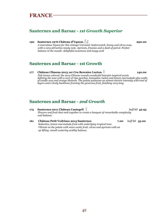## **Sauternes and Barsac** *- 1st Growth Superior*

**190** Sauternes 1976 Château d'Yquem  $\bigcup$ <sup>0</sup> **1990.00 990.00** *A marvelous Yquem for this vintage! Caramel, butterscotch, honey and citrus nose, with a very attractive musty note. Apricots, freesias and a dash of petrol. Perfect balance in the mouth- delightful sweetness and tangy acid* 

### **Sauternes and Barsac** *-* **1st Growth**

**177 Château Climens 2013 1er Cru Berenice Lurton 140.00**  *Pale lemon colored, the 2014 Climens reveals wonderful botrytis-inspired scents defining the nose with a core of ripe peaches, honeydew melon and lemon marmalade plus wafts of candle wax and orange blossom. The palate possesses an almost electric intensity with tons of layers and a lively backbone framing the generous fruit, finishing very long.*

### **Sauternes and Barsac** *- 2nd Growth*

- **175 Sauternes 2011 Château Cantegril** *half btl* **42.95**  *Flowers and fruit that melt together to create a bouquet of remarkable complexity and balance.*
- **161 Château Petit Vedrines 2015 Sauternes 7.00** *half btl* **35.00**  *Seductive, lemon marmalade fruit with underlying tropical tone. Vibrant on the palate with more exotic fruit, citrus and apricots with an up lifting, mouth watering acidity balance.*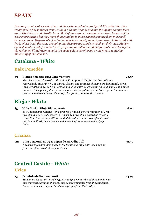# **SPAIN**

*Does any country give such value and diversity in red wines as Spain? We collect the ultra traditional in fine vintages from La Rioja Alta and Vega Sicilia and the up and coming from areas like Priorat and Castilla Leon. Most of these are not supermarket cheap because of the costs of production but they more than stand up to more expensive wines from more well known sources. They are also food wines which, strangely enough, are meant to be drunk with food, which is not the same as saying that they are too tannic to drink on their own. Modern Spanish whites made from the Viura grape can be dull or bland but for real character try the old fashioned VinaGravonia, with its savoury flavours of wood or the mouth-watering minerality of the Albarino.* 

### **Cataluna -** *White*

### **Baix Penedès**

#### **99 Blanco Seleccio 2014 Jane Ventura 23.95**

*The blend is Xarel·lo (65%), Muscat de Frontignac (18%),Garnacha (15%) and Malvasía de Sitges (5%). The wine is elegant and complex, showing predominantly citrus (grapefruit) and exotic fruit notes, along with white flower, fresh almond, fennel, and anise nuances. Rich, powerful, neat and unctuous on the palate, it somehow repeats the complex aromatic pattern it has on the nose, with great balance and structure.* 

## **Rioja -** *White*

#### **85 Viña Ilusión Rioja Blanco 2018 26.95**

*100% Tempranillo Blanco - This grape is a natural genetic mutation of Tempranillo. A vine was discovered in an old Tempranillo vineyard as recently as 1988, so there is very little around. Pale yellow colour. Nose of white fruits and lemon. Fresh, delicate wine with a touch of creaminess and a zippy finish* 

### **Crianza**

**112 Vina Gravonia 2009 R Lopez de Heredia 52.50**  *A real rarity, white Rioja made in the traditional style with wood ageing from one of the greatest Rioja bodegas.* 

# **Central Castile -** *White*

### **Ucles**

**23 Dominio de Fontana 2018 24.95**  *Sauvignon Blanc 70%, Verdejo 30%. A crisp, aromatic blend showing intense and expressive aromas of grassy and gooseberry notes from the Sauvignon Blanc with touches of fennel and white pepper from the Verdejo.*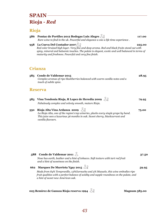# **SPAIN Rioja -** *Red*

# **Rioja**

| 586 | Pontac de Portiles 2012 Bodegas Luis Alegre<br>Rare wine to find in the uk. Powerful and elegance a one a life time experience.                                                                                                                                                          | 117.00 |
|-----|------------------------------------------------------------------------------------------------------------------------------------------------------------------------------------------------------------------------------------------------------------------------------------------|--------|
| 958 | La Cueva Del Contador 2007.<br>Red color bruised high layer. Very fine and deep aroma. Red and black fruits stand out with<br>spicy, mineral and balsamic touches. The palate is elegant, exotic and well balanced in terms of<br>maturity and freshness. Powerful and very fine finish. | 225.00 |
|     | <b>Crianza</b>                                                                                                                                                                                                                                                                           |        |
| 585 | Conde de Valdemar 2015<br>Complex aromas of ripe blackberries balanced with warm vanilla notes and a<br>touch of subtle spice.                                                                                                                                                           | 28.95  |
|     | <b>Reserva</b>                                                                                                                                                                                                                                                                           |        |
| 583 | Vina Tondonia Rioja, R Lopez de Heredia 2009 $\sqrt{2}$<br>Fabulously complex and velvety smooth, mature Rioja.                                                                                                                                                                          | 79.95  |
| 550 | Rioja Alta Vina Ardanza 2009 25<br>La Rioja Alta, one of the region's top wineries, plucks every single grape by hand.<br>This juice sees a luxurious 36 months in oak. Sweet cherry, blackcurrant and<br>vanilla flavours.                                                              | 75.00  |
|     | 588 Conde de Valdemar 2011<br>Nose has earth, leather and a hint of tobacco. Soft texture with tart red fruit<br>and a hint of sweetness on the finish.                                                                                                                                  | 37.50  |
| 662 | <b>Marques De Murrieta Ygay 2015</b><br>Made from 84% Tempranillo, 13%Garnacha and 3% Mazuelo, this wine embodies ripe<br>fruit qualities with a perfect balance of acidity and supple roundness on the palate, and<br>a hint of sweet new American oak.                                 | 59.95  |
|     | <b>023 Remirez de Ganuza Rioja reserva 1994</b><br><b>Magnum 585.00</b>                                                                                                                                                                                                                  |        |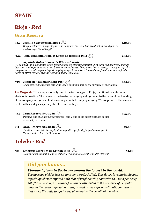# **Rioja -** *Red*

### **Gran Reserva**

- **954 Castillo Ygay Especial 2001 140.00**  *Deeply coloured, spicy, elegant and complex, the wine has great volume and grip as well as expectional length.*
- **944 Vina Tondonia Rioja, R Lopez de Heredia 1994 295.00**

#### *96 points Robert Parker's Wine Advocate*

 *"The 1994 Vina Tondonia Gran Reserva has an elegant bouquet with light red cherries, orange blossom, mahogany bureau and burnt buttered toast. The palate has a meaty, savory entry with crisp tannins and racy acidity. It displays superb structure towards the finish where one finds notes of bitter lemon, orange peel and sage. Delicious!"*

**599 Conde de Valdemar BMB 1983**  $\sqrt{9}$  **165.00** *At a recent wine tasting this wine was a shinning star at the surprise of everybody .* 

*La Rioja Alta:* is unquestionably one of the top bodegas of Rioja, traditional in style but not afraid of innovation. The names of the two top wines 904 and 890 refer to the dates of the founding of the company in 1890 and to it becoming a limited company in 1904. We are proud of the wines we list from this bodega, especially the older fine vintage.

- **924 Gran Reserva 890 1982 295.00**  *Possibly one of Spain's greatest reds- this is one of the finest vintages of this extremely rare wine*
- **911 Gran Reserva 904 2010 99.00 99.00**  *La Rioja Alta's 904 is simply stunning, it's a perfectly judged marriage of Tempranillo with 10% Graciano*

# **Toledo -** *Red*

**581 Emeritus Marques de Grinon 1998**  $\sqrt[3]{2}$  **75.00** *A sumptuous, smooth blend of Cabernet Sauvignon, Syrah and Petit Verdot* 

# *Did you know...*

*Vineyard yields in Spain are among the lowest in the world.* 

*The average yield is just 1.4 tons per acre (25hl/ha). This figure is remarkably low, especially when compared with that of neighbouring countries (4.2 tons per acre/ 70hl/ha on average in France). It can be attributed to the presence of very old vines in the various growing areas, as well as the rigorous climatic conditions that make life quite tough for the vine - but to the benefit of the wine.*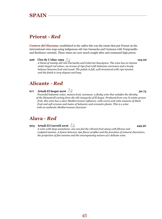# **SPAIN**

# **Priorat -** *Red*

*Costers del Siurana:* established in the 1980s this was the estate that put Priorat on the international wine map using indigenous old vine Garnacha and Carinena with Tempranillo and Bordeaux varietals. These wines are now much sought after and command high prices.

**926 Clos de L'obac 1995 125.00**  *A blend of mainly old vine Garnacha and Cabernet Sauvignon. The wine has an intense violet tinged red colour, an aroma of ripe fruit with balsamic overtones and a lovely balance between fruit and wood. The palate is full, well structured with ripe tannins and the finish is very elegant and long.* 

# **Alicante -** *Red*

**677 Artadi El Sequé 2016 50.75**  *Powerful balsamic notes, mature fruit, unctuous: a fleshy wine that satisfies the identity of the Monastrell variety from the old vineyards of El Sequé. Produced from 100 % estate-grown fruit, this wine has a clear Mediterranean influence, with warm and calm nuances of black fruit and soft aromas and tastes of balsamic and aromatic plants. This is a wine with an authentic Mediterranean character*

## **Alava -** *Red*

**903 Artadi El Carretil 2016 445.50** 

*A wine with deep sensations: one can feel the vibrant fruit along with fibrous and sculpted tannins. A fusion between ripe flavor profiles and the precision of mineral characters, the projection of fine tannins and the encompassing texture of a delicate wine.*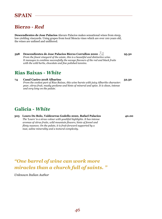# **SPAIN**

# **Bierzo -** *Red*

**Descendientes de Jose Palacios** Alavaro Palacios makes sensational wines from steep, low-yielding vineyards. Using grapes from local Mencia vines which are over 100 years old, the wines are unfined and unfiltered.

**598 Descendientes de Jose Palacios Bierzo Corrullon 2000**  $\frac{10}{2}$  **95.50** *From the finest vineyard of the estate, this is a beautiful and distinctive wine. It manages to combine successfully the savage flavours of the red and black fruits with the wild herbs, chocolate and fine polished tannins.* 

## **Rias Baixas -** *White*

**74 Casal Caeiro 2018 Albarino 32.50**  *From the coolest part of Rias Baíxas, this wine bursts with juicy Albariño character: pear, citrus fruit, musky perfume and hints of mineral and spice. It is clean, intense and very long on the palate.* 

# **Galicia -** *White*

**303 Louro Do Bolo, Valdeorras Godello 2020, Rafael Palacios 40.00**  *The 'Louro' is a straw colour with youthful highlights. It has intense aromas of citrus fruits, wild mountain flowers, hints of fennel and flinty nuances. On the palate, it is fruit-forward supported by a taut, saline minerality and a textural complexity.*

# *"One barrel of wine can work more miracles than a church full of saints. "*

*Unknown Italian Author*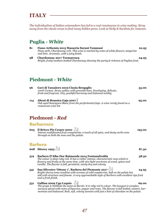*The individualism of Italian winemakers has led to a real renaissance in wine making. Stray away from the classic areas to find many hidden gems. Look at Sicily & Sardinia for instance.* 

## **Puglia -** *White*

**81 Fiano Arthemis 2015 Masseria Surani Tommasi 22.95**  *Fiano 90%, Chardonnay 10%. This wine is marked by notes of white flowers, tangerine and lime. Aromatic, with a juicy finish.*  **98 Chardonnay 2017 Tormaresca 24.95**  *Bright, fruity medium-bodied Chardonnay showing the purity & richness of Puglian fruit.* 

### **Piedmont -** *White*

- **96 Gavi di Tassaloro 2019 Cinzia Bergaglio 35.00**  *100% Cortese. Straw yellow with greenish hues. Enveloping, delicate, fresh and fragrant. Dry, youthful harmony and balanced acidity.*
- **114 Alteni di Brassica Gaja 2007**  $\frac{1}{2}$ *Oak aged Sauvignon Blanc from the perfectionist,Gaja. A wine rarely found on a restaurant wine list*

## **Piedmont -** *Red*

#### **Barbaresco**

- **605** Il Bricco Pio Cesare 2000  $\sqrt{2}$ *Intense multifaceted fruit components, a touch of all spice, and dusty earth come through on both the nose and the palate.*  **Barbera**
- **608** Sitorey 1993  $\frac{1}{2}$  87.50 **519 Barbera D'Alba Doc Raimonda 2014 Fontanafredda 38.50** *The colour is deep ruby-red. It has a rather intense, characteristic nose which is flowery and fruity at the same time, with nice light overtones of wood, spices and vanilla. The flavour is full, persistent, nicely dry and velvety* **541 San Silvestro 'Ottone 1', Barbera del Piemonte 2017 24.95** *Bright cherry tones combine with aromas of wild raspberries. Soft on the palate but still with structure and finesse. A very approachable style of Barbera with excellent ripe fruit and a fresh finish.*  **531 Gallina 2009 Ugo Lequio 69.00** 
	- *The grape is Nebbiolo the same as Barolo. It is ruby red in colour. The bouquet is complex, savoury spiced with notes of liquorice, pepper and roses. The flavour is full bodied, austere, harmonious and balanced. Rich, soft, velvety tannins with just a hint of chocolate on the palate.*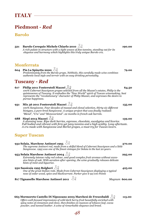# **Piedmont -** *Red*

### **Barolo**

**521 Barolo Cerequio Michele Chiarlo 2010 190.00**  *A rich palate in structure with a tight weave of fine tannins, standing out for its elegance and harmony which highlights this truly unique Barolo cru.*

#### **Monferrata**

**604** Pin La Spinetta 2000 <u>↓</u> 2 *Predominately from the Barolo grape, Nebbiolo, this carefully made wine combines authentic local style and terroir with an easy drinking personality.* 

## **Tuscany -** *Red*

- **617 Philip 2011 Fonterutoli Mazzei 64.50**  *100% Cabernet Sauvignon grapes selected from all the Mazzei's estates, Philip is the quintessence of Tuscany. It embodies the "New World" spirit of Tuscan winemaking, best represents the "revolutionary" character of Philip Mazzei, and expresses the desire to pursue happiness.*
- **931 Mix 36 2011 Fonterutoli Mazzei 135.00**  *100% Sangiovese. Four decades of massal and clonal selection, thirty-six different biotypes, a pure-bred Sangiovese. A unique project that was finally realized: "Blend", "Cru" and "Monovarietal". 22 months in french oak barrels.*
- **688 Siepi 2013 Mazzei**  $\bigcup_{\alpha}^{\infty}$  **Siepi 2013 Mazzei**  $\bigcup_{\alpha}^{\infty}$  **139.00** *A stunning nose. Ripe dark berries, espresso, chocolate, eucalyptus and licorice. A stunning nose. Ripe dark berries, espresso, chocolate, eucalyptus and licorice. Full bodied and vibrant with firm yet juicy tannins and a high acidity. Long aftertaste. A cru made with Sangiovese and Merlot grapes, a must try for Tuscan lovers.*

### **Super Tuscan**

**932 Solaia, Marchese Antinori 1995** <sup>35</sup> *The supreme Antinori red, made from a skilful blend of Cabernet Sauvignon and a little Sangiovese. 1995 was one of the finest vintages for Solaia in the last 20 years.*  **953 Solaia Marchese Antinori 2004 295.00**  *Extremely intense ruby red colour, and good complex fruit aromas without excessive hints of oak. With aeration after opening, the wine gradually releases delicate hints of mint and liquorice.*  **930 Sassicaia 1995 Bolgheri 425.00**  *One of the great Italian reds. Made from Cabernet Sauvignon displaying a typical nose of cedar wood, spice and blackcurrant. Parker give it 92/100 Points*  **817 Tignanello Marchese Antinori 2011** *Magnum* **600.00** 

#### **663 Mormoreto Castello Di Nipozzano 2003 Marchesi de Frescobaldi 115.00**

*Offers well-focused impressions of wild dark berry-fruit beautifully enriched with spicy notes of cinnamon and clove, then finishes on nuances of tobacco leaf, cocoa powder, and tanned leather. A wine of remarkable elegance and breed.*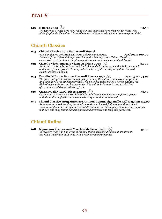**619** Il Borro 2000  $\sqrt[3]{ }$  82.50

*The wine has a lovely deep ruby red colour and an intense nose of ripe black fruits with hints of spice. On the palate it is well-balanced with rounded rich tannins and a great finish.* 

### **Chianti Classico**

- **623 Chianti Classico 2014 Fonterutoli Mazzei**  *90% Sangiovese, 10% Malvasia Nera, Colorino and Merlot.* **Jeroboam 160.00**  *Produced from different Sangiovese clones, this is a important Chianti Classico, concentrated, elegant and complex, ages for twelve months in a small oak barrels.*  **613** Castello Vicchiomaggio Vigna La Prima 2008  $\sqrt{2}$  84.00 *Ruby-red. A mix of forest fruits and fresh cherry flesh on the nose with a balsamic touch and notes of undergrowth. Tannic, well-structured, full and elegant palate. Focused, clearly-delineated finish.*  **933 Castello Di Brolio Barone Riscasoli Riserva 1997** *125ml* **15.00 74.95**  *The first vintage of this, the new flagship wine of the estate, made from Sangiovese and aged for 18 months in barrique. This delicious wine shows a herby, slightly me-*
- *of structure and dense red berry fruit.*  **616 Casanova di Nittardi Riserva 2010**  $\sqrt{2}$  58.50 *Casanuova di Nittardi is a traditional Chianti Classico made from Sangiovese grapes with the addition of 5% Canaiolo to make it softer and more rounded.*

*dicinal nose with tar and leather notes. The palate is firm and tannic, with lots* 

**692 Chianti Classico 2013 Marchese Antinori Tenuta Tignanello**  $\frac{1}{2}$  **Magnum 175.00** *An intense ruby red in color, the wine's nose shows ripe red fruit along with sustained sensations of vanilla and spices. The palate is ample and enveloping, balanced and vigorous with soft and silky tannins and the finish and aftertaste and long and persistent.*

### **Chianti Rufina**

**618 Nipozzano Riserva 2016 Marchesi de Frescobaldi 55.00**  *Impressive fruit, and fine-grained tannins that marry beautifully with its alcohol; the result is a solidly-built wine with a seamless lingering finish.*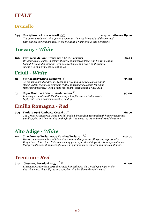## **Brunello**

**634** Castiglion del Bosco 2008  $\sqrt{2}$  magnum 180.00 89.70 *The color is ruby red with garnet overtones, the nose is broad and determined with typical varietal aromas. In the mouth it is harmonious and persistent.* 

# **Tuscany -** *White*

**100 Vernaccia di San Gimignagno 2018 Terruzzi 29.95**  *Brilliant straw yellow in colour, the nose is delicately floral and fruity; mediumbodied, fresh and minerally, with notes of honey and pears on the palate; elegant, with a crisp, consistent finish* 

## **Friuli -** *White*

| 72 | Vinnae 2017 Silvio Jermann $\Omega$<br>An amazing blend of Ribolla, Tocai and Riesling. It has a clear, brilliant<br>straw-yellow colour. Its aroma is fruity, mineral and elegant, for all its<br>rustic forthrightness, with a taste that is dry, zesty and full-flavoured. | 55.00 |
|----|-------------------------------------------------------------------------------------------------------------------------------------------------------------------------------------------------------------------------------------------------------------------------------|-------|
| 73 | Capo Martino 2006 Silvio Jermann $\chi$<br>Intensely aromatic with the flavours of white flowers and citrus fruits,<br>kept fresh with a delicious streak of acidity                                                                                                          | 99.00 |

# **Emilia Romagna -** *Red*

**609 Tauleto 1998 Umberto Cesari 62.50**  *The Cesari's Sangiovese wines are full-bodied, beautifully textured with hints of chocolate, vanilla, spice and fine tannins on the finish. Tauleto is the crowning glory of the estate.* 

# **Alto Adige -** *White*

**117 Chardonnay Terlan 2003 Cantina Terlano**  $\sqrt{2}$  **140.00** *Here's an unexpectedly ambitious Chardonnay that joins an elite group representing Italy's best white wines. Released some 15 years after the vintage, this is an opulent wine that presents elegant nuances of stone and passion fruits, mineral and toasted almond.* 

# **Trentino -** *Red*

**610 Granato, Foradori 1995 65.00 65.00** *Elisabeta Faradori has virtually single-handedly put the Teroldego grape on the fine wine map. This fully mature complex wine is silky and sophisticated*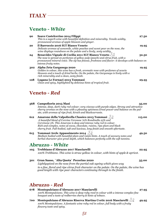# **Veneto -** *White*

| 90  | Soave Castelcerino 2014 Filippi<br>This is a superb wine with beautiful definition and minerality. Tensile acidity,<br>pronounced aromas of apple blossom and ginger.                                                                                              | 27.50 |
|-----|--------------------------------------------------------------------------------------------------------------------------------------------------------------------------------------------------------------------------------------------------------------------|-------|
| 20  | Il Barroccio 2016 IGT Bianco Veneto<br>Delicate aromas of camomile, white peaches and sweet pear on the nose, the<br>wine displays roundness on the palate and a lively, zesty acidity.                                                                            | 19.95 |
| 24  | Benavides Vignale di Cecilia 2011 IGT Bianco Veneto<br>The nose is spread on perfumes of yellow pulp (peach) and citrus fruit, with a<br>pronounced mineral voice. The sip has finesse, freshness and flavor: it develops with balance on<br>intense fruity notes. | 52.50 |
| 302 | Alpha Zeta Garganega 2020<br>Golden in colour, this wine has a fresh, aromatic nose with perfumes of acacia<br>blossom and a touch of dried herbs. On the palate, the Garganega is lively with a<br>rich minerality and a clean, zesty finish.                     | 19.95 |
| 108 | Lugana Le Fornaci 2013 Tommasi<br>Clean and spicy, highlighted by delicious hints of tropical fruit.                                                                                                                                                               | 29.95 |

## **Veneto** *- Red*

*flowery taste and spicy.* 

| 568 | Campofiorin 2015 Masi<br>Intense, deep, dark ruby red colour; very viscous with purple edges. Strong and attractive<br>cherry aromas on the nose with a pleasing spiciness. Great power and balance on the pal-<br>ate, with aromas of ripe fruit, kirsch and blackcurrants.                                                                               | 35.00  |
|-----|------------------------------------------------------------------------------------------------------------------------------------------------------------------------------------------------------------------------------------------------------------------------------------------------------------------------------------------------------------|--------|
| 612 | Amarone della Valpolicella Classico 2013 Tommasi XI<br>A beautiful blend of Corvina Veronese 70% Rondinella 25% and<br>Corvinone 5%. This Amarone is deep and intense ruby red in colour.<br>Rich and complex, notes of cocoa, chocolate, raisins, ripe plum and black<br>cherry fruit. Full-bodied, soft and luscious, long finish and smooth aftertaste. | 115.00 |
| 615 | <b>Tommasi Arele Appassimento 2014</b> $\sqrt{\phantom{a}}\sqrt{\phantom{a}}\sqrt{\phantom{a}}$<br>Medium bodied with beautiful plum and raisin hints. A touch of savoury notes and<br>herbal character give great depth, which balances perfectly with the soft tannins.                                                                                  | 49.50  |
|     | Abruzzo - <i>White</i>                                                                                                                                                                                                                                                                                                                                     |        |
| 105 | Trebbiano d'Abruzzo 2017 Masciarelli<br>100% Trebbiano. This wine is straw yellow in colour, with hints of apple & apricot.                                                                                                                                                                                                                                | 22.95  |
| 301 | Gran Sasso, `Alta Quota` Pecorino 2020<br>Lightlyspiced on the nose from the partial oak ageing which gives way<br>to a fine, floral and ripe citrus fruit character on the palate. On the palate, the wine has<br>good length with ripe pear characters continuing through to the finish.                                                                 | 35.00  |
|     | Abruzzo - <i>Red</i>                                                                                                                                                                                                                                                                                                                                       |        |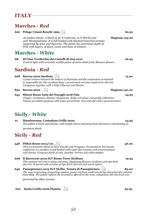# **Marches -** *Red*

|     | <b>626     Pelago Umani Ronchi 1999 <math>\bigcirc</math> P</b>                                                                                                                                                                                                                               | 62.50 |
|-----|-----------------------------------------------------------------------------------------------------------------------------------------------------------------------------------------------------------------------------------------------------------------------------------------------|-------|
|     | An Italian classic. A blend of 40 % Cabernet, 10 % Merlot and<br><b>Magnum 125.00</b><br>50% Montepulciano. It is full-bodied with blackcurrant fruit aromas<br>supported by spice and liquorice. The palate has enormous depth of<br>fruit with layers, of plum, cassis and hints of tobacco |       |
|     | <b>Marches - <i>White</i></b>                                                                                                                                                                                                                                                                 |       |
| 68  | Di Gino Verdicchio dei Castelli di Jesi 2012<br>Fresh & light with aromatic middle palete of stone white fruit, Blossom flowers                                                                                                                                                               | 26.95 |
|     | Sardinia - <i>Red</i>                                                                                                                                                                                                                                                                         |       |
| 628 | Barrua 2002 Sardinia $\sqrt{2}$<br>A joint venture between the makers of Sassicaia and the cooperative at Santadi<br>is responsible for this excellent deep, concentrated red wine made from old vine<br>Carignano together with a little Cabernet and Merlot.                                | 75.00 |
| 832 | Barrua 2002 $\sqrt{2}$<br><b>Magnum 150.00</b>                                                                                                                                                                                                                                                |       |
| 643 | Silenzi Rosso Isola dei Nuraghi 2018 Pala<br>Grapes: Carignano, Monica, Sangiovese. Ruby red colour, burgundy reflections.<br>Intense persistent perfume with notes of red fruits. Dry and soft with a good structure.                                                                        | 24.95 |
|     | Sicily - <i>White</i>                                                                                                                                                                                                                                                                         |       |
| 21  | Mandrarossa, Costadune Grillo 2020<br>The palate is fresh and intense, with bright citrus and stone fruit characters culminating in                                                                                                                                                           | 24.95 |
|     | persistent finish.                                                                                                                                                                                                                                                                            |       |
|     | Sicily - <i>Red</i>                                                                                                                                                                                                                                                                           |       |
|     | 548 Pithos Rosso 2014 Cos $\sqrt[3]{2}$<br>This is a fantastic blend of Nero d'Avola and Frappato. Fermented in Terracotta<br>amphoras is a medium to full bodied with super-fine tannins and great freshness<br>and clarity. Gorgeous finish of nuts, peaches, berries and white pepper.     | 46.00 |
| 606 | Il Barroccio 2019 IGT Rosso Terre Siciliane<br>This opulent red wine is spicy and juicy, displaying flavours of plums and ripe dark<br>cherries. It bursts with aromas of ripe dark cherries and warm spices.                                                                                 | 19.95 |
| 646 | Passopisciaro 2015 IGT Sicilia, Tenuta di Passopisciaro $\bigcup \Omega$<br>The nose is stunning, presenting opulent, sweet red fruit, underscored by characteristic volcanic<br>minerality. The palate reflects the aromatics offered on the nose, voluptuous old vine fruit com-            | 85.00 |
|     | plemented by silken tannins.                                                                                                                                                                                                                                                                  |       |
| 622 | Santa Cecilia 2006 Planeta $\sqrt{2}$                                                                                                                                                                                                                                                         | 65.95 |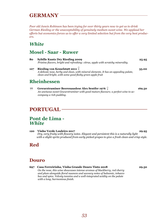# **GERMANY**

*Poor old Jancis Robinson has been trying for over thirty years now to get us to drink German Riesling or the unacceptability of genuinely medium sweet wine. We applaud her efforts but economics forces us to offer a very limited selection but from the very best producers.* 

## *White*

### **Mosel - Saar - Ruwer**

**80 Sybille Kuntz Dry Riesling 2009 25.95**  *Pristine flavors, bright and refreshing: citrus, apple with scratchy minerality.*  **107 Riesling von Kesselstatt 2011 35.00**  *A delicate nose, herby and clean, with mineral elements. It has an appealing palate, clean and bright, with some good fleshy green apple fruit* 

## **Rheinhessen**

**77 Gewurztraminer Beerenauslese Alex Sentfer 1976 169.50**  *An unctuous sweet Gewurztraminer with good mature flavours; a perfect wine to accompany a rich pudding.* 

# **PORTUGAL**

### **Pont de Lima -** *White*

**120 Vinho Verde Louleiro 2017 29.95**  *Dry, very fruity with flowery notes. Elegant and persistent this is a naturally light with a slight spritz produced from early picked grapes to give a fresh clean and crisp style.*

# **Red**

### **Douro**

**697 Casa Ferreirinha, Vinha Grande Douro Tinto 2018 29.50**  *On the nose, this wine showcases intense aromas of blackberry, red cherry and plum alongside floral nuances and savoury notes of balsamic, tobacco box and spice. Velvety tannins and a well-integrated acidity on the palate with a long, harmonious finish.*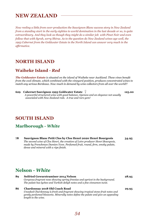# **NEW ZEALAND**

*Now reeling a little from over-production the Sauvignon Blanc success story in New Zealand from a standing start in the early eighties to world domination in the last decade or so, is quite extraordinary. And they look as though they might do a similar job with Pinot Noir and even follow that with Syrah, sorry Shiraz. As to the question do New Zealand wines age well, the 1993 Cabernet from the Goldwater Estate in the North Island can answer very much in the affirmative.* 

### **NORTH ISLAND**

### **Waiheke Island -** *Red*

*The Goldwater Estate is situated on the island of Waiheke near Auckland. These vines benefit from the cool climate, which combined with the vineyard position, produces concentrated wines to match any serious Bordeaux. Now much in demand by wine collectors from all over the world!!* 

**629 Cabernet Sauvignon 1993 Goldwater Estate 125.00**  *A powerful structured wine with good balance, ripeness and an elegance not usually associated with New Zealand reds. A true and rare gem!*

### **SOUTH ISLAND**

### **Marlborough -** *White*

**78 Sauvignon Blanc Petit Clos by Clos Henri 2020 Henri Bourgeois 34.95**  *The second wine of Clos Henri, the creation of Loire producer Henri Bourgeois, made by Frenchman Damien Yvon. Perfumed fruit, round, firm, smoky palate, dense and mineral with a ripe finish.* 

## **Nelson -** *White*

| 89 | <b>Seifried Gewurztraminer 2014 Nelson</b><br>Gorgeous fragrant nose showing spring freesias and apricot in the background.<br>The palate has lychee and Turkish deligh notes and a fine cinnamon twist.                      | 28.95 |
|----|-------------------------------------------------------------------------------------------------------------------------------------------------------------------------------------------------------------------------------|-------|
| 86 | Chardonnay 2018 Old Coach Road<br>Unoaked Chardonnay is fresh and fragrant showing tropical stone-fruit notes and<br>gently perfumed blossoms. Minerally notes define the palate and give an appealing<br>length to the wine. | 29.95 |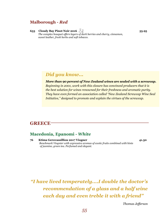### **Malborough -** *Red*

**633 Cloudy Bay Pinot Noir 2016 55.95**  *The complex bouquet offers layers of dark berries and cherry, cinnamon, sweet leather, fresh herbs and soft tobacco.* 

## *Did you know...*

*More than 90 percent of New Zealand wines are sealed with a screwcap. Beginning in 2001, work with this closure has convinced producers that it is the best solution for wines renowned for their freshness and aromatic purity. They have even formed an association called "New Zealand Screwcap Wine Seal Initiative," designed to promote and explain the virtues of the screwcap.* 

### **GREECE**

### **Macedonia, Epanomi -** *White*

**76 Ktima Gerovassilliou 2017 Viogner 41.50** *Benchmark Viognier with expressive aromas of exotic fruits combined with hints of jasmine, green tea. Perfumed and elegant.* 

*"I have lived temperately....I double the doctor's recommendation of a glass and a half wine each day and even treble it with a friend"* 

*Thomas Jefferson*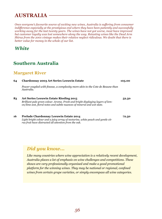# **AUSTRALIA**

*Once everyone's favourite source of exciting new wines, Australia is suffering from consumer indifference especially at the prestigious end where they have been patiently and successfully working away for the last twenty years. The wines have not got worse, most have improved but customer loyalty was lost somewhere along the way. Retasting wines like the Dead Arm Shiraz from the 2001 vintage makes their relative neglect ridiculous. We doubt that there is better value for money in the whole of our list.* 

*White* 

# **Southern Australia**

### **Margaret River**

| 64 | <b>Chardonnay 2003 Art Series Leeuwin Estate</b>                                                                                                                                                            | 105.00 |
|----|-------------------------------------------------------------------------------------------------------------------------------------------------------------------------------------------------------------|--------|
|    | Power coupled with finesse, a complexity more akin to the Cote de Beaune than<br>Australia.                                                                                                                 |        |
| 83 | <b>Art Series Leeuwin Estate Riesling 2015</b><br>Brilliant pale green colour. Aroma. Fresh and bright displaying layers of lem-<br>on/lime zest, floral notes and subtle nuances of mineral and wet slate. | 52.50  |
| 16 | Prelude Chardonnay Leeuwin Estate 2014<br>Light bright colour and a juicy array of nectarine, white peach and gentle cit-<br>rus fruit have distracted all attention from the oak.                          | 72.50  |

# *Did you know...*

*Like many countries where wine appreciation is a relatively recent development, Australia places a lot of emphasis on wine challenges and competitions. These shows are very professionally organised and make a good promotional platform for the winning wines. They may be national or regional, confined wines from certain grape varieties, or simply encompass all wine categories.*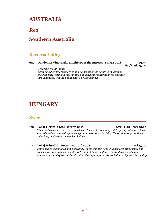# **AUSTRALIA**

### *Red*

## **Southern Australia**

### **Barossa Valley**

#### **632 Dandelion Vineyards, Lionheart of the Barossa, Shiraz 2018 29.95**

*Half Bottle* **15.50**

*Generous, mouth-filling sweet blackberries, raspberries and plums cover the palate with lashings of sweet spice. Firm but fine tannins and dark chocolatey nuances continue throughout the lengthy palate with a youthful finish.*

# **HUNGARY**

#### **Sweet**

- **170 Tokaj-Hétszőlő Late Harvest 2015** *125ml* **6.20** 50cl **30.95**  *The nose has aromas of citrus, elderflower, linden blossom and fresh tropical fruit notes which are reflected on palate along with elegant minerality and acidity. The residual sugar and the refreshing acidity give anexcellent balance.*
- **171 Tokaj-Hétszőlő 5 Puttonyos Aszú 2008**  50cl **85.50**  *Shiny golden colour, rich and oily texture. Fresh complex nose with apricots, citrus fruits and somemelon accompanied by nuts. Rich and full-bodied palate with dried fruits and walnut, followed by a hint of caramel andvanilla. The high sugar levels are balanced by the crisp acidity.*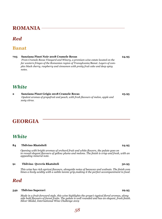# **ROMANIA**

## *Red*

**705 Sanziana Pinot Noir 2018 Cramele Recas 24.95**   *From Cramele Recas Vineyard and Winery, a premium wine estate located on the far western fringes of the Romanian region of Transylvania/Banat. Layers of complex black cherry, raspberry and cinnamon with pretty fruit cake and deep spicy notes.* 

### *White*

**2 Sanziana Pinot Grigio 2018 Cramele Recas 23.95**   *Opulent aromas of grapefruit and peach, with fresh flavours of melon, apple and zesty citrus.*

# **GEORGIA**

## *White*

#### **84 Tbilvino Rkatsiteli 24.95**

*Opening with bright aromas of orchard fruit and white flowers, the palate goes on to reveal elegant flavours of yellow plums and melons. The finish is crisp and fresh, with an appealing mineral note.*

#### **91 Tbilvino Qvevris Rkatsiteli 30.95**

*This wine has rich apricot flavours, alongside notes of beeswax and walnuts. The finish com bines a lively acidity with a subtle tannic grip,making it the perfect accompaniment to food.* 

### *Red*

#### **549 Tbilvino Saperavi 29.95**

*Made in a fruit-forward style, this wine highlights the grape's typical floral aromas, along side bold flavours of forest fruits. The palate is well rounded and has an elegant, fresh finish. Silver Medal, International Wine Challenge 2019*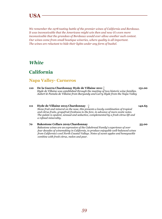# **USA**

*We remember the 1978 tasting battle of the premier wines of California and Bordeaux. It was inconceivable that the Americans might win then and now it's even more inconceivable that the grandees of Bordeaux would ever allow another such contest. Our wines come from small boutique wineries, where quality is all important. The wines are reluctant to hide their lights under any form of bushel.* 

## *White*

# **California**

### **Napa Valley- Carneros**

**110 De la Guerra Chardonnay Hyde de Villaine 2011 131.00**  *Hyde de Villaine was established through the meeting of two historic wine families. Aubert & Pamela de Villaine from Burgundy and Larry Hyde from the Napa Valley* 

#### **111 Hyde de Villaine 2013 Chardonnay 142.65**  *Stone fruit and mineral on the nose, this presents a lovely combination of tropical and citrus fruits, grapefruit freshness to the fore, in advance of more exotic notes. The palate is opulent, sensual and seductive, complemented by a fresh citrus lift and a refined minerality.*

#### **70 Bakestone Cellars 2019 Chardonnay 55.00**

*Bakestone wines are an expression of the Cakebread Family's experience of over four decades of winemaking in California, to produce enjoyable well-balanced wines from California's cool North Coastal Valleys. Notes of sweet apples and honeysuckle combine with fresh citrus, melon and pear.*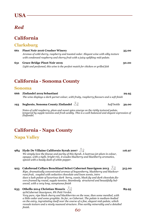# *Red*

# **California**

### **Clarksburg**

| 661 | <b>Pinot Noir 2016 Crusher Winery</b>                                               | 35.00 |
|-----|-------------------------------------------------------------------------------------|-------|
|     | Aromas of wild cherry, raspberry and toasted cedar. Elegant wine with silky texture |       |
|     | with condensed raspberry and cherry fruit with a juicy uplifting mid-palate.        |       |
| 631 | <b>Grace Bridge Pinot Noir 2019</b>                                                 | 30.00 |

*Light and perfumed, this wine is the perfect match for chicken or grilled fish* 

# **California - Sonoma County**

#### **Sonoma**

- **666 Zinfandel 2019 Sebastiani 29.95**  *The wine displays a dark garnet colour, with fruity, raspberry flavours and a soft finish*
- **193 Seghesio, Sonoma County Zinfandel**  $\frac{10}{3}$  half bottle **39.00**

*Notes of wild raspberry, plum and sweet spice emerge on the richly textured palate, tempered by supple tannins and fresh acidity. This is a well-balanced and elegant expression of Zinfandel.*

# **California - Napa County**

### **Napa Valley**

# **984 Hyde De Villaine Californio Syrah 2007 116.97**

*We simply love the finesse and purity of this Syrah. A lustrous jet-plum in colour, opaque, with a tight, bright rim, it exudes blueberry and blackberry aromatics, spiced with a heady dash of white pepper.* 

#### **923 Cakebread Cellars Benchland Select Cabernet Sauvignon 2013 315.00**

*Ripe, dramatically concentrated aromas of boysenberry, blackberry and blackcurrant fruit, coupled with seductive chocolate and loam scents, intro duce a lush palate of luxurious dark berry, cassis, black fig and dark chocolate flavors framed by round, supple tannins. Seamlessly structured and beautifully balanced, with a very long, sumptuous finish*

### **635 Othello 2014 Christian Moueix 89.95**

*92%Cabernet Sauvignon, 8% Petit Verdot.* 

*Very pure, ripe black cherry and blackberries on the nose, then some menthol, with a little cedar and some graphite. So far, so Cabernet. The palate is medium-bodied on the entry, ingratiating itself over the course of a fine, elegant mid-palate, which reveals texture and a nicely nuanced structure. Fine earthy minerality and a detailed finish. 60*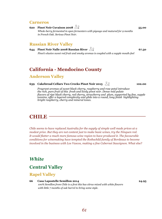#### **Carneros**

**620 Pinot Noir Cuvaison 2008 55.00**  *Whole-berry fermented in open fermenters with pigeage and matured for 9 months in French Oak. Serious Pinot Noir.* 

### **Russian River Valley**

**644 Pinot Noir Nalle 2008 Russian River**  $\sqrt{2}$  67.50 *Pinot's elusive sweet red fruit and smoky aromas is coupled with a supple mouth-feel* 

## **California - Mendocino County**

#### **Anderson Valley**

#### **639 Cakebread Cellars Two Creeks Pinot Noir 2015 102.00**

*Fragrant aromas of sweet black cherry, raspberry and rose petal introduce the rich, pure fruit of this fresh and lively pinot noir. Dense mid palate flavors of ripe black cherry, red cherry, strawberry and plum, supported by fine, supple tannins, offer a layered complexity and glide into a round, long finish highlighting bright raspberry, cherry and mineral tones.*

## **CHILE**

*Chile seems to have replaced Australia for the supply of simple well made prices at a modest price. But they are not content just to make basic wines, try the Ninquen red. It would flatter a much more famous wine region to have produced it. The favourable conditions for winemaking have tempted the Rothschild family of Bordeaux to become involved in the business with Los Vascos, making a fine Cabernet Sauvignon. What else?* 

### *White*

### **Central Valley**

#### **Rapel Valley**

#### **66 Casa Lapostelle Semillon 2014 24.95**

*100% Semillon from Chile is a first this has citrus mixed with white flowers with little 7 months of oak barrel to bring some style.*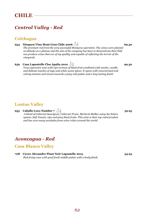# *Central Valley - Red*

### **Colchagua**

### **934 Ninquen Vina Mont Gras Chile 2006**  $\sqrt[3]{2}$  **69.50**

*The premium red from the very successful Montgras operation. The wines were planted at altitude on a plateau and the aim of the company has been to demonstrate that Chile can produce wines that are of top quality and capable of reflecting the terroir of the vineyards.* 

**659** Casa Lapostolle Clos Apalta 2010 **99.50 99.50** *Very expressive nose with ripe aromas of black fruit combined with mocha, vanilla and delicate touches of sage and white sweet spices. It opens with concentrated and velvety tannins and moves towards a juicy mid palate and a long lasting finish.* 

### **Lontue Valley**

**935** Caballo Loco Number 7  $\sqrt{9}$  *A blend of Cabernet Sauvignon, Cabernet Franc, Merlot & Malbec using the Solera system. Soft Tannin, ripe and juicy black fruits. This wine is their top rated product and has won many accolades from wine critics around the world.* 

## *Aconcagua - Red*

### **Casa Blanca Valley**

**708 Cuvee Alexandre Pinot Noir Lapostelle 2015 34.95**  *Rich fruity nose with good fresh middle palate with a lively finish.*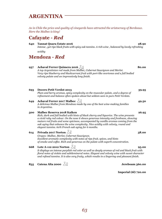# **ARGENTINA**

*As in Chile the price and quality of vineyards have attracted the aristocracy of Bordeaux. Here the Malbec is king!* 

## **Cafayate -** *Red*

#### **640 Tannat Quara Estate 2016 28.90** *Intense , yet ripe black fruits with spicy oak tannins. A rich wine , balanced by lovely refreshing*

 *acidity* 

# **Mendoza -** *Red*

#### **937** Achaval Ferrer Quimera 2016  $\sqrt{2}$

*A top Argentinian red made from Malbec, Cabernet Sauvignon and Merlot. Very ripe blueberry and blackcurrant fruit with port-like overtones and a full bodied velvety palate and an impressively long finish.* 

**693 Decero Petit Verdot 2013 39.95**  *Plum and berry aromas, spicy complexity on the muscular palate, and a degree of refinement and balance often spoken about but seldom seen in pure Petit Verdots.*  **649** Achaval Ferrer 2017 Malbec  $\sqrt{2}$  **49.50** 

*A delicious Malbec from Mendoza made by one of the best wine-making families in Argentina.* 

#### **500 Malbec Reserva 2018 Kaiken 26.95**

*Rich, dark and full bodied with hints of black cherry and liquorice. The wine presents a vivid ruby red colour. On the nose it shows generous intensity and freshness, showing mature red fruits and some spiciness, accompanied by vanilla aromas coming from the oak aging that enhance the wine complexity. Nice acidity with velvety, round and elegant tannins. 60% French oak aging for 6 months.* 

#### **614 Privada 2017 Norton 38.00**

*Grapes: Malbec, Merlot, Cabernet Sauvignon. Excellent aromatic complexity with notes of ripe fruit, spices, and hints of smoke and coffee. Rich and generous on the palate with superb concentration.* 

#### **668** Lote A-112 2012 Norton  $\sqrt{2}$  **95.00**

*It displays an intense purplish red color as well as deeply aromas of red and black fruit with floral notes of violets and subtlemineral notes. Elegant and velvety wine with sweet character and refined tannins. It is also very fruity, which results in a lingering and pleasant finish.* 

**835 Catena Alta 2000 Jereboam 360.00** 

 **Imperial (6l) 720.00**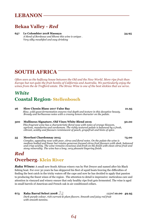# **LEBANON**

# **Bekaa Valley -** *Red*

**657 Le Colombier 2018 Massaya 34.95**  *A blend of Bordeaux and Rhone this wine is unique . Very silky mouthfeel and easy drinking* 

# **SOUTH AFRICA**

*Often seen as the halfway house between the Old and the New World. More ripe fruit than Europe but not quite the fruit bombs of California and Australia. We particularly enjoy the wines from the de Trafford estate. The Straw Wine is one of the best stickies that we serve.* 

# *White*  **Coastal Region- Stellenbosch**

**26 Slow Chenin Blanc 2017 False Bay 21.95**  *Slow, wild yeast fermentation ensures real depth and texture in this deceptive beauty. Bready and herbaceous notes with a creamy lemon character on the palate.*

#### **300 Mullineux Signature, Old Vines White Blend 2019 50.00**

*This fragrant wine has a characteristic floral nose with notes of orange blossom, apricots, mandarins and cardamom. The richly textured palate is balanced by a fresh, vibrant, acidity and flavours reminiscent of peach, grapefruit and hints of spice.*

#### **35 Meerlust Chardonnay 2015 75.00**

*Complex, appealing nose with pear, citrus and floral notes. On the palate the wine is medium bodied and linear but retains generous focused citrus fruit flavours with sleek, balanced and crisp acidity. The wine remains vivacious and fresh on the finish with clean citrus fruit and stony minerality. The wine has a long, very pleasant lingering finish.* 

# *Red*  **Overberg- Klein River**

*Raka Wines:* A small new South African winery run by Piet Dreyer and named after his Black fishing boat. For over 30 years he has skippered his fleet of squid boats braving the difficulties of finding the best catch in the tricky waters off the cape and now he has decided to apply that passion to producing the finest wines of the region . The attention to detail is impressive: meticulous care and attention in vineyard and winery ensure that only healthy ripe fruit gets fermented. The wine is aged in small barrels of American and French oak in air conditioned cellars.

#### **673 Raka Barral Select 2008**  $\sqrt{2}$  **125ml <b>10.00** 49.95

*Dark purple colour, rich currant & plum flavors. Smooth and juicy red fruit with smooth tannins.*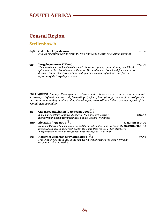# **SOUTH AFRICA**

### **Coastal Region**

#### **Stellenbosch**

| 648 | Old School Syrah 2019<br>Full yet elegant with ripe brambly fruit and some meaty, savoury undertones. | 24.00 |
|-----|-------------------------------------------------------------------------------------------------------|-------|
|     |                                                                                                       |       |

**939 Vergelegen 2001 V Blend 125.00**  *The wine shows a rich ruby colour with almost an opaque center. Cassis, pencil lead, spice and red berries, abound on the nose. Matured in new French oak for 24 months the fruit, tannin structure and fine acidity indicate a wine of balance and finesse reflective of the Vergelegen terroir.* 

*De Trafford- Amongst the very best producers on the Cape.Great care and attention to detail has been part of their success: only harvesting ripe fruit; handpicking; the use of natural yeasts; the minimum handling of wine and no filtration prior to bottling. All these practices speak of the commitment to quality.* 

| 653     | Cabernet Sauvignon (Jereboam) 2002<br>A deep dark colour, cassis and cedar on the nose, intense fruit<br>flavours with a silky textured palate and an elegant long finish                                                                                                                               | 280.00               |
|---------|---------------------------------------------------------------------------------------------------------------------------------------------------------------------------------------------------------------------------------------------------------------------------------------------------------|----------------------|
| 820     | Elevation '393' 2001 $\sqrt{2}$<br>A blend of Cabernet Sauvignon, Merlot and Shiraz with a little Cabernet Franc, D. Magnum 360.00<br>fermented and aged in new French oak for 21 months. Deep red colour, lush blackberry<br>and spicy fruitcake aromas, rich, supple dense texture, and a long finish | <b>Magnum 180.00</b> |
| $6 - 6$ | <b>Robernet Cabernet Sauvianon 2001</b>                                                                                                                                                                                                                                                                 |                      |

**656 Robernet Cabernet Sauvignon 2001 67.50**  *This wine shows the ability of the new world to make style of of wine normally associated with the Medoc.*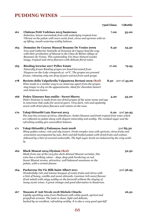# **PUDDING WINES**

|     |                                                                                                                                                                                                                                                                                                                                                | 75ml Glass | 1/2Bottle    |
|-----|------------------------------------------------------------------------------------------------------------------------------------------------------------------------------------------------------------------------------------------------------------------------------------------------------------------------------------------------|------------|--------------|
| 161 | <b>Château Petit Vedrines 2015 Sauternes</b><br>Seductive, lemon marmalade fruit with underlying tropical tone.<br>Vibrant on the palate with more exotic fruit, citrus and apricots with an<br>up lifting, mouth watering acidity balance.                                                                                                    | 7.00       | 35.00        |
| 163 | Domaine De Coyeux Muscat Beaume De Venise 2009<br>Yves and Catherine Nativelle of Domaine de Coyeux lead the way<br>with their production of Muscat in the Côtes de Rhône village of<br>Beaumes-de-Venise. This outstanding Vin Doux Naturel exudes<br>tangy, tropical and citrus flavours with delicate floral notes.                         | 6.30       | 25.50        |
| 165 | <b>Riesling Icewine 2017 Peller Estate</b><br>Naturally frozen Riesling grapes are hand harvested from<br>Niagara-on-the-Lake vineyards at -10 $\rm{^o}C$ . The grapes are pressed<br>frozen, releasing only one drop of pure extract from each grape.                                                                                         | 17.00      | 79.95        |
| 178 | Recioto della Valpolicella Valpantena Bertani 2019 (Red)<br>Wine made in a similar way to an Amarone apart from the grapes<br>stay longer to dry on the appassimento. Ideal for chocolate dessert<br>and Amarone lovers.                                                                                                                       | 8.50       | 500 ml 45.00 |
| 166 | Pedro Ximenez San emilio - Sweet Sherry<br>Pedro Ximenez is made from sun-dried grapes of the same name and age<br>in American Oak casks for several years. Very dark, rich and opulently<br>sweet with dried plum flavours and raisins on the nose.                                                                                           | 5.20       | 33.20        |
| 170 | Tokaj-Hétszőlő Late Harvest 2015<br>The nose has aromas of citrus, elderflower, linden blossom and fresh tropical fruit notes which<br>are reflected on palate along with elegant minerality and acidity. The residual sugar and the<br>refreshing acidity give anexcellent balance.                                                           | 6.20       | 50cl 30.95   |
| 171 | Tokaj-Hétszőlő 5 Puttonyos Aszú 2008<br>Shiny golden colour, rich and oily texture. Fresh complex nose with apricots, citrus fruits and<br>somemelon accompanied by nuts. Rich and full-bodied palate with dried fruits and walnut,<br>followed by a hint of caramel andvanilla. The high sugar levels are balanced by the crisp acidi-<br>ty. |            | 50cl 85.50   |
| 162 | <b>Black Muscat 2014 Elysium (Red)</b><br>Made from one of the very few dark skinned Muscat varieties, this<br>wine has a striking colour - deep, deep pink bordering on red.<br>Sweet Muscat aroma, attractive, well balanced sweetness on the<br>palate, with a certain finesse.                                                             |            | 32.50        |
| 164 | Pacherenc Du Vic Bilh Saint Albert 2011<br>Wonderfully rich and intense bouquet of exotic fruits and citrus with<br>a hint of honey, vanilla and sweet almonds. Luscious rich sweet flavour<br>(fruit salad) with zingy acidity on the farewell without the cloying of<br>many sweet wines. A great vintage and good alternative to Sauternes. |            | 50cl 36.95   |
| 167 | Moscato d'Asti Nivole 2018 Michele Chiarlo<br>Lightly sparkling wine from Piedmont with white peach, apricot and<br>grapefruit aromas. The taste is clean, light and delicate,<br>backed by an excellent, refreshing acidity. It is also a very good aperitif!                                                                                 |            | 26.50        |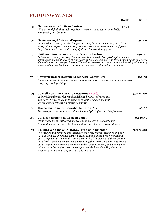# **PUDDING WINES**

|     | 1/2Bottle                                                                                                                                                                                                                                                                                                                                                                                                                                                                                                                                                | <b>Bottle</b> |
|-----|----------------------------------------------------------------------------------------------------------------------------------------------------------------------------------------------------------------------------------------------------------------------------------------------------------------------------------------------------------------------------------------------------------------------------------------------------------------------------------------------------------------------------------------------------------|---------------|
| 175 | Sauternes 2011 Château Cantegril<br>42.95<br>Flowers and fruit that melt together to create a bouquet of remarkable<br>complexity and balance                                                                                                                                                                                                                                                                                                                                                                                                            |               |
| 190 | Sauternes 1976 Château d'Yquem<br>A marvelous Yquem for this vintage! Caramel, butterscotch, honey and citrus<br>nose, with a very attractive musty note. Apricots, freesias and a dash of petrol.<br>Perfect balance in the mouth- delightful sweetness and tangy acid.                                                                                                                                                                                                                                                                                 | 990.00        |
| 177 | Château Climens 2013 1er Cru Berenice Lurton                                                                                                                                                                                                                                                                                                                                                                                                                                                                                                             | 140.00        |
|     | Pale lemon colored, the 2014 Climens reveals wonderful botrytis-inspired scents<br>defining the nose with a core of ripe peaches, honeydew melon and lemon marmalade plus wafts<br>of candle wax and orange blossom. The palate possesses an almost electric intensity with tons of<br>layers and a lively backbone framing the generous fruit, finishing very long.                                                                                                                                                                                     |               |
| 77  | Gewurztraminer Beerenauslese Alex Sentfer 1976<br>An unctuous sweet Gewurztraminer with good mature flavours; a perfect wine to ac-<br>company a rich pudding                                                                                                                                                                                                                                                                                                                                                                                            | 169.50        |
| 179 | Cornell Rosatum Moscato Rosa 2006 (Rosé)<br>It is bright ruby in colour with a delicate bouquet of roses and<br>red berry fruits; spicy on the palate, smooth and luscious with<br>an opulent sweetness cut by fruity acidity.                                                                                                                                                                                                                                                                                                                           | 50cl 62.00    |
| 168 | Rivesaltes Domaine Boucabeille Hors d'Age<br>Matured for 10 years in wood this wine has light toffee and date flavours                                                                                                                                                                                                                                                                                                                                                                                                                                   | 65.00         |
| 169 | Cuvaison Espiritu 2005 Napa Valley<br>Hand made from Petit Sirah grapes and mellowed in old casks for<br>18 months, just nine barrels of this vintage desert wine were produced.                                                                                                                                                                                                                                                                                                                                                                         | 50cl 66.50    |
| 159 | La Tunela Noans 2015 D.O.C. Friuli Colli Orientali<br>An intense and complex first impact on the nose, of great elegance and puri-<br>ty in its bouquet of candied citrus, intermingling with a sweet, honeyed bou-<br>quet. Corpulent in the mouth, this is a triumph of the sweet and the aromatic,<br>with fresh, persistent sensations working together to create a very impressive<br>palate signature. Persistent notes of candied orange, citron, and lemon arise<br>with a sweet finish of apricots in syrup. A well-balanced acidity closes the | 50cl 56.00    |

*67* 

*sweetness with a long, dry and non-oily end note.*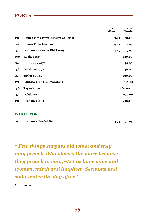### **PORTS**

|     |                                            | 75ml<br><b>Glass</b> | 750ml<br><b>Bottle</b> |
|-----|--------------------------------------------|----------------------|------------------------|
| 750 | <b>Ramos Pinto Porto Reserva Collector</b> | 3.95                 | 32.00                  |
| 752 | <b>Ramos Pinto LBV 2012</b>                | 4.95                 | 42.95                  |
| 755 | <b>Graham's 10 Years Old Tawny</b>         | 4.85                 | 39.95                  |
| 760 | Kopke 1980                                 |                      | 120.00                 |
| 761 | <b>Burmester 1970</b>                      |                      | 135.00                 |
| 756 | Delaforce 1992                             |                      | 150.00                 |
| 753 | <b>Taylor's 1985</b>                       |                      | 190.00                 |
| 771 | Fonesca's 1985 Guimararens                 |                      | 115.00                 |
| 758 | Taylor's 1992                              |                      | 260.00                 |
| 759 | Delaforce 1977                             |                      | 270.00                 |
| 751 | Graham's 1963                              |                      | 450.00                 |

#### **WHITE PORT**

| 762 Graham's Fine White | $4.75$ $37.95$ |
|-------------------------|----------------|
|                         |                |

*" Few things surpass old wine; and they may preach Who please, the more because they preach in vain,--Let us have wine and women, mirth and laughter, Sermons and soda-water the day after"* 

*Lord Byron*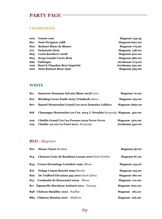# **PARTY PAGE**

#### **CHAMPAGNE**

| 000 | <b>Gosset rosé</b>               | <b>Magnum 139.95</b> |
|-----|----------------------------------|----------------------|
| 801 | Dom Perignon 1988                | <b>Magnum 600.00</b> |
| 802 | <b>Ruinart Blanc de Blancs</b>   | <b>Magnum 179.90</b> |
| 272 | <b>Delamotte Brut</b>            | <b>Magnum 138.00</b> |
| 805 | <b>Louis Roederer 2008</b>       | <b>Magnum 300.00</b> |
| 803 | <b>Krug Grande Cuvée Brut</b>    | <b>Magnum 380.00</b> |
| 896 | <b>Taittinger</b>                | Jeroboam 275.00      |
|     | 000 Moet & Chandon Brut Impérial | Jeroboam 250.00      |
| 000 | <b>Dom Ruinart Rose 1990</b>     | <b>Magnum 595.00</b> |
|     |                                  |                      |

#### **WHITE**

| 811 | <b>Sancerre Domaine Sylvain Blanc 2018 Loire</b>                    | <b>Magnum</b> 70.00   |
|-----|---------------------------------------------------------------------|-----------------------|
| 812 | <b>Riesling Cuvee Emile 2005 Trimbach Alsace</b>                    | <b>Magnum 195.00</b>  |
| 807 | Batard-Montrachet Grand Cru 2012 Domaine Leflaive                   | <b>Magnum 1850.00</b> |
| 818 | Chassagne Montrachet 1er Cru 2014 J. Drouhin Burgundy Magnum 450.00 |                       |
| 022 | <b>Chablis Grand Cru Les Preuses 2019 Fevre-Fevre</b>               | <b>Magnum 300.00</b>  |
| 019 | <b>Chablis 1er cru La Foret 2012</b> Burgundy                       | Jereboam 530.00       |

### **RED -** *Magnum*

| 810 | <b>House Claret Bordeau</b>                        | <b>Magnum 56.00</b>  |
|-----|----------------------------------------------------|----------------------|
| 814 | Chateau Croix de Rambeau Lussac 2010 Saint Emilion | Magnum 87.50         |
|     | 834 Crozes Hermitage LesJalets 1999 Rhone          | <b>Magnum 135.00</b> |
| 816 | Pelago Umani Ronchi 1999 Marche                    | <b>Magnum 125.00</b> |
| 820 | De Trafford Elevation 393 2001 South Africa        | <b>Magnum 180.00</b> |
| 815 | <b>Coudoulet de Beaucastel 2009</b> Rhone          | <b>Magnum 110.00</b> |
|     | 817 Tignanello Marchese Antinori 2011 Tuscany      | Magnum 600.00        |
|     | 858 Château Batailley 2012 Pauillac                | <b>Magnum 285.00</b> |
|     | 885 Château Montus 2007 Madiran                    | <b>Magnum 126.00</b> |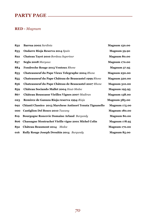# **PARTY PAGE**

### **RED -** *Magnum*

| 832 | Barrua 2002 Sardinia                                      | <b>Magnum 150.00</b> |
|-----|-----------------------------------------------------------|----------------------|
| 833 | <b>Ondarre Rioja Reserva 2014 Spain</b>                   | <b>Magnum 59.90</b>  |
| 822 | Chateau Tayet 2010 Bordeau Superieur                      | <b>Magnum 80.00</b>  |
| 837 | Segla 2008 Margaux                                        | <b>Magnum 170.00</b> |
| 884 | Fondreche Rouge 2015 Ventoux Rhone                        | <b>Magnum 57.95</b>  |
| 853 | <b>Chateauneuf du Pape Vieux Telegraphe 2004 Rhone</b>    | <b>Magnum 250.00</b> |
| 855 | Chateauneuf du Pape Château de Beaucastel 1999 Rhone      | <b>Magnum 320.00</b> |
| 856 | Chateauneuf du Pape Château de Beaucastel 2007 Rhone      | <b>Magnum 310.00</b> |
| 859 | Château Sociando Mallet 2004 Haut-Medoc                   | <b>Magnum 195.95</b> |
| 867 | Château Bouscasse Vieilles Vignes 2007 Madiran            | <b>Magnum 158.00</b> |
| 023 | Remirez de Ganuza Rioja reserva 1994-Rioja                | <b>Magnum 585.00</b> |
| 692 | Chianti Classico 2013 Marchese Antinori Tenuta Tignanello | <b>Magnum 175.00</b> |
| 000 | <b>Castiglion Del Bosco 2010 Tuscany</b>                  | <b>Magnum 180.00</b> |
| 819 | <b>Bourgogne Roncevie Domaine Arlaud Burgundy</b>         | <b>Magnum 80.00</b>  |
| 806 | Chassagne Montrachet Vieille vigne 2001 Michel Colin      | <b>Magnum 178.95</b> |
| 852 | <b>Château Beaumont 2014</b><br>Medoc                     | <b>Magnum 170.00</b> |
| 016 | Rully Rouge Joseph Drouhin 2014 Burgundy                  | <b>Magnum 85.00</b>  |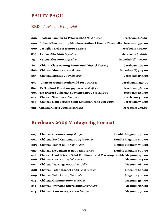## **PARTY PAGE**

## **RED -** *Jereboam & Imperial*

| 000 | Chateau Cambon La Pelouse 2007 Haut-Medoc                                 | Jereboam 245.00             |
|-----|---------------------------------------------------------------------------|-----------------------------|
| 000 | Chianti Classico 2013 Marchese Antinori Tenuta Tignanello Jereboam 350.00 |                             |
| 000 | <b>Castiglion Del Bosco 2010 Tuscany</b>                                  | Jereboam 360.00             |
| 835 | Catena Alta 2000 Argentina                                                | Jereboam 360.00             |
| 835 | Catena Alta 2000 Argentina                                                | <b>Imperial (6l) 720.00</b> |
| 823 | Chianti Classico 2013 Fonterutoli Mazzei Tuscany                          | Jereboam 160.00             |
| 866 | Château Montus 2007 Madiran                                               | <b>Imperial (6l) 504.00</b> |
| 865 | Château Montus 2007 Madiran                                               | Jereboam 256.00             |
| 990 | Château Mouton Rothschild 1980 Bordeau                                    | Jereboam 1,350.00           |
| 862 | De Trafford Elevation 393 2001 South Africa                               | Jereboam 360.00             |
| 003 | De Trafford Cabernet Sauvignon 2002 South Africa                          | Jereboam 280.00             |
| 017 | Chateau Siran 2007 Margaux                                                | Jereboam 410.00             |
| 018 | <b>Chateau Haut Brisson Saint Emillion Grand Cru 2009</b>                 | Jereboam 750.00             |
| 021 | Chateau Gloria 2008 Saint Julien                                          | Jereboam 450.00             |

## **Bordeaux 2009 Vintage Big Format**

| 003 | Château Giscours 2009 Margaux                                           | Double Magnum 790.00 |
|-----|-------------------------------------------------------------------------|----------------------|
| 004 | Château Boyd Cantenac 2009 Margaux                                      | Double Magnum 690.00 |
| 005 | Château Talbot 2009 Saint Julien                                        | Double Magnum 760.00 |
| 020 | Chateau De Camensac 2009 Haut Medoc                                     | Double Magnum 600.00 |
| 018 | Chateau Haut Brisson Saint Emillion Grand Cru 2009 Double Magnum 750.00 |                      |
| 006 | Château Gloria 2009 Saint Julien                                        | <b>Magnum 245.00</b> |
| 007 | Château Lagrange 2009 Saint Julien                                      | <b>Magnum 285.00</b> |
| 008 | Château Lafon Rochet 2009 Saint Estephe                                 | <b>Magnum 240.00</b> |
| 009 | Château Talbot 2009 Saint Julien                                        | <b>Magnum 380.00</b> |
| 014 | Château Giscours 2009 Margaux                                           | <b>Magnum 385.00</b> |
| 012 | Château Branaire-Ducru 2009 Saint Julien                                | <b>Magnum 395.00</b> |
| 013 | Château Rauzan Segla 2009 Margaux                                       | <b>Magnum 790.00</b> |
|     |                                                                         |                      |